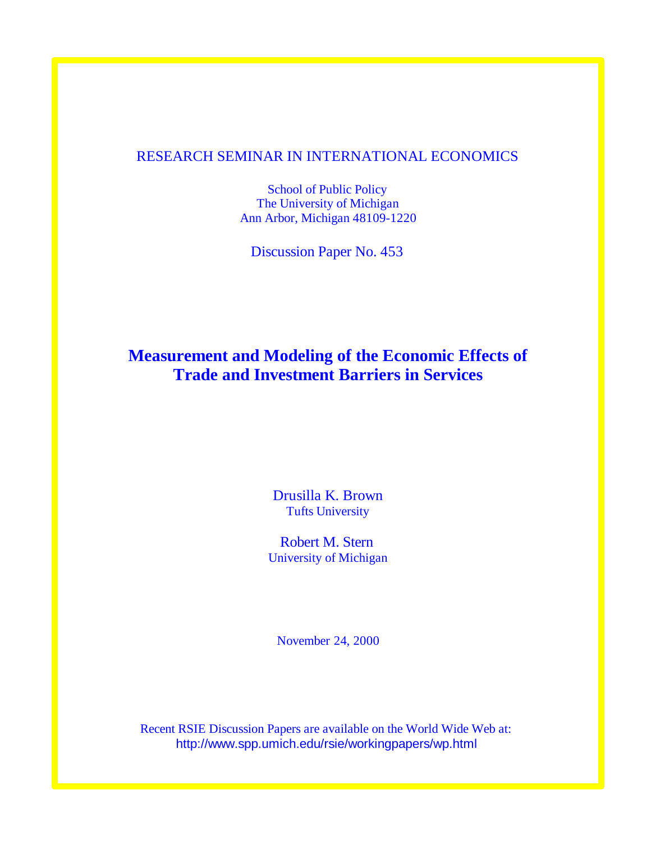## RESEARCH SEMINAR IN INTERNATIONAL ECONOMICS

School of Public Policy The University of Michigan Ann Arbor, Michigan 48109-1220

Discussion Paper No. 453

# **Measurement and Modeling of the Economic Effects of Trade and Investment Barriers in Services**

Drusilla K. Brown Tufts University

Robert M. Stern University of Michigan

November 24, 2000

Recent RSIE Discussion Papers are available on the World Wide Web at: http://www.spp.umich.edu/rsie/workingpapers/wp.html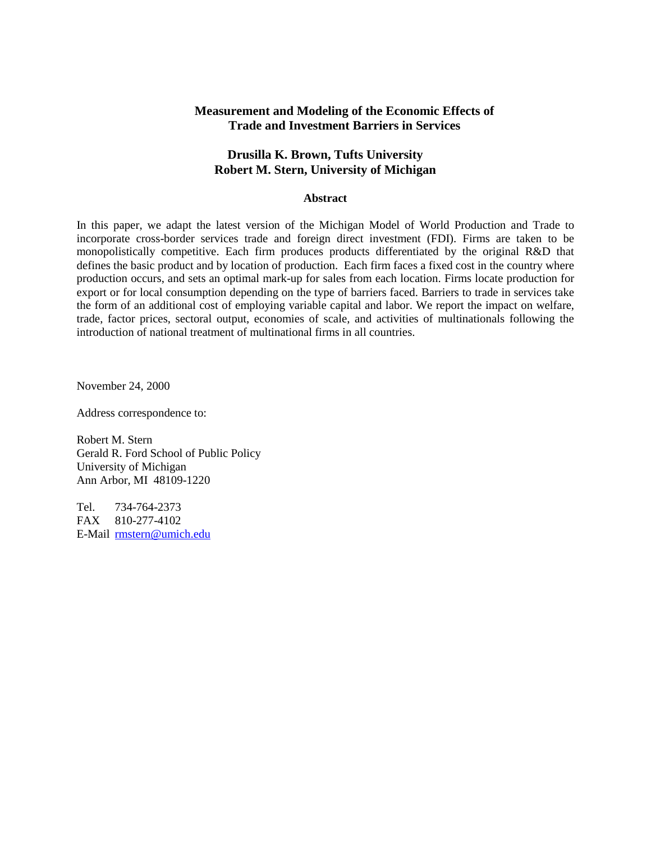#### **Measurement and Modeling of the Economic Effects of Trade and Investment Barriers in Services**

### **Drusilla K. Brown, Tufts University Robert M. Stern, University of Michigan**

#### **Abstract**

In this paper, we adapt the latest version of the Michigan Model of World Production and Trade to incorporate cross-border services trade and foreign direct investment (FDI). Firms are taken to be monopolistically competitive. Each firm produces products differentiated by the original R&D that defines the basic product and by location of production. Each firm faces a fixed cost in the country where production occurs, and sets an optimal mark-up for sales from each location. Firms locate production for export or for local consumption depending on the type of barriers faced. Barriers to trade in services take the form of an additional cost of employing variable capital and labor. We report the impact on welfare, trade, factor prices, sectoral output, economies of scale, and activities of multinationals following the introduction of national treatment of multinational firms in all countries.

November 24, 2000

Address correspondence to:

Robert M. Stern Gerald R. Ford School of Public Policy University of Michigan Ann Arbor, MI 48109-1220

Tel. 734-764-2373 FAX 810-277-4102 E-Mail rmstern@umich.edu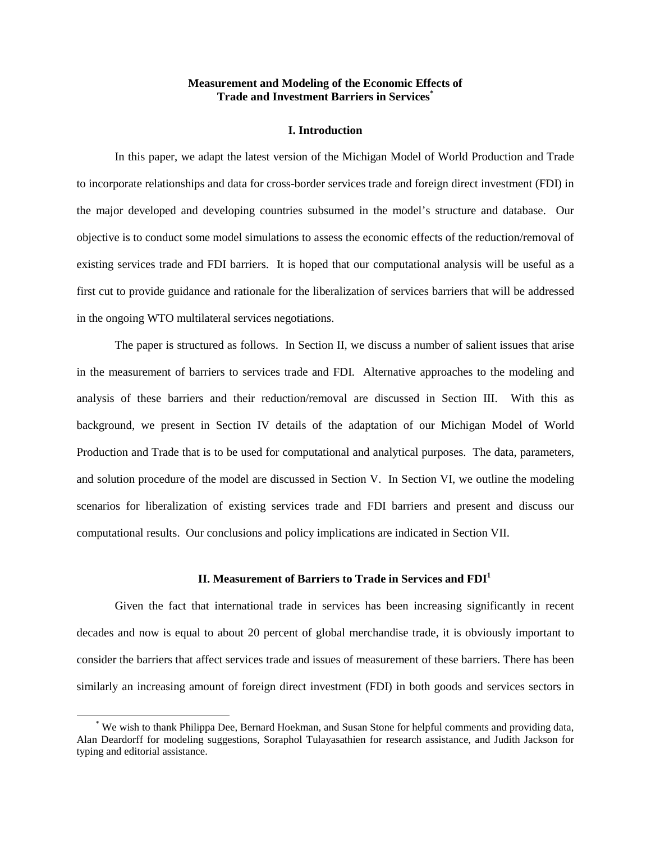#### **Measurement and Modeling of the Economic Effects of Trade and Investment Barriers in Services\***

#### **I. Introduction**

 In this paper, we adapt the latest version of the Michigan Model of World Production and Trade to incorporate relationships and data for cross-border services trade and foreign direct investment (FDI) in the major developed and developing countries subsumed in the model's structure and database. Our objective is to conduct some model simulations to assess the economic effects of the reduction/removal of existing services trade and FDI barriers. It is hoped that our computational analysis will be useful as a first cut to provide guidance and rationale for the liberalization of services barriers that will be addressed in the ongoing WTO multilateral services negotiations.

 The paper is structured as follows. In Section II, we discuss a number of salient issues that arise in the measurement of barriers to services trade and FDI. Alternative approaches to the modeling and analysis of these barriers and their reduction/removal are discussed in Section III. With this as background, we present in Section IV details of the adaptation of our Michigan Model of World Production and Trade that is to be used for computational and analytical purposes. The data, parameters, and solution procedure of the model are discussed in Section V. In Section VI, we outline the modeling scenarios for liberalization of existing services trade and FDI barriers and present and discuss our computational results. Our conclusions and policy implications are indicated in Section VII.

#### **II. Measurement of Barriers to Trade in Services and FDI1**

Given the fact that international trade in services has been increasing significantly in recent decades and now is equal to about 20 percent of global merchandise trade, it is obviously important to consider the barriers that affect services trade and issues of measurement of these barriers. There has been similarly an increasing amount of foreign direct investment (FDI) in both goods and services sectors in

 <sup>\*</sup> We wish to thank Philippa Dee, Bernard Hoekman, and Susan Stone for helpful comments and providing data, Alan Deardorff for modeling suggestions, Soraphol Tulayasathien for research assistance, and Judith Jackson for typing and editorial assistance.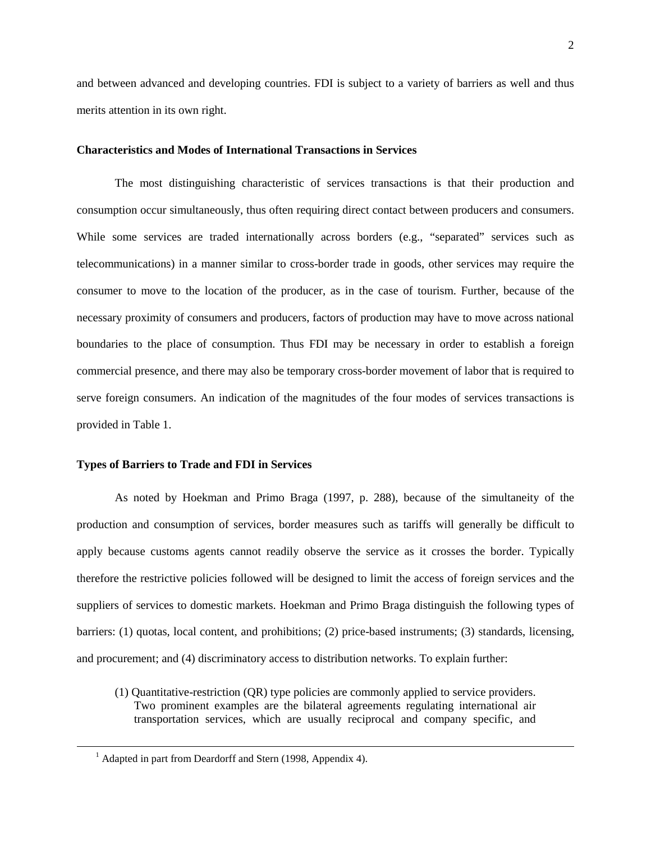and between advanced and developing countries. FDI is subject to a variety of barriers as well and thus merits attention in its own right.

#### **Characteristics and Modes of International Transactions in Services**

The most distinguishing characteristic of services transactions is that their production and consumption occur simultaneously, thus often requiring direct contact between producers and consumers. While some services are traded internationally across borders (e.g., "separated" services such as telecommunications) in a manner similar to cross-border trade in goods, other services may require the consumer to move to the location of the producer, as in the case of tourism. Further, because of the necessary proximity of consumers and producers, factors of production may have to move across national boundaries to the place of consumption. Thus FDI may be necessary in order to establish a foreign commercial presence, and there may also be temporary cross-border movement of labor that is required to serve foreign consumers. An indication of the magnitudes of the four modes of services transactions is provided in Table 1.

#### **Types of Barriers to Trade and FDI in Services**

As noted by Hoekman and Primo Braga (1997, p. 288), because of the simultaneity of the production and consumption of services, border measures such as tariffs will generally be difficult to apply because customs agents cannot readily observe the service as it crosses the border. Typically therefore the restrictive policies followed will be designed to limit the access of foreign services and the suppliers of services to domestic markets. Hoekman and Primo Braga distinguish the following types of barriers: (1) quotas, local content, and prohibitions; (2) price-based instruments; (3) standards, licensing, and procurement; and (4) discriminatory access to distribution networks. To explain further:

(1) Quantitative-restriction (QR) type policies are commonly applied to service providers. Two prominent examples are the bilateral agreements regulating international air transportation services, which are usually reciprocal and company specific, and

 <sup>1</sup>  $<sup>1</sup>$  Adapted in part from Deardorff and Stern (1998, Appendix 4).</sup>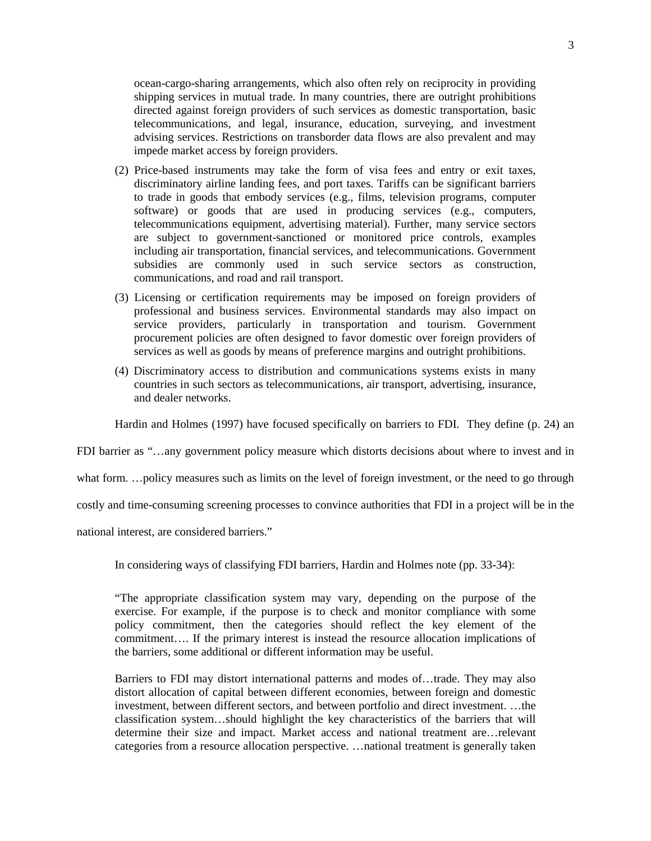ocean-cargo-sharing arrangements, which also often rely on reciprocity in providing shipping services in mutual trade. In many countries, there are outright prohibitions directed against foreign providers of such services as domestic transportation, basic telecommunications, and legal, insurance, education, surveying, and investment advising services. Restrictions on transborder data flows are also prevalent and may impede market access by foreign providers.

- (2) Price-based instruments may take the form of visa fees and entry or exit taxes, discriminatory airline landing fees, and port taxes. Tariffs can be significant barriers to trade in goods that embody services (e.g., films, television programs, computer software) or goods that are used in producing services (e.g., computers, telecommunications equipment, advertising material). Further, many service sectors are subject to government-sanctioned or monitored price controls, examples including air transportation, financial services, and telecommunications. Government subsidies are commonly used in such service sectors as construction, communications, and road and rail transport.
- (3) Licensing or certification requirements may be imposed on foreign providers of professional and business services. Environmental standards may also impact on service providers, particularly in transportation and tourism. Government procurement policies are often designed to favor domestic over foreign providers of services as well as goods by means of preference margins and outright prohibitions.
- (4) Discriminatory access to distribution and communications systems exists in many countries in such sectors as telecommunications, air transport, advertising, insurance, and dealer networks.

Hardin and Holmes (1997) have focused specifically on barriers to FDI. They define (p. 24) an

FDI barrier as "…any government policy measure which distorts decisions about where to invest and in

what form. ...policy measures such as limits on the level of foreign investment, or the need to go through

costly and time-consuming screening processes to convince authorities that FDI in a project will be in the

national interest, are considered barriers."

In considering ways of classifying FDI barriers, Hardin and Holmes note (pp. 33-34):

"The appropriate classification system may vary, depending on the purpose of the exercise. For example, if the purpose is to check and monitor compliance with some policy commitment, then the categories should reflect the key element of the commitment…. If the primary interest is instead the resource allocation implications of the barriers, some additional or different information may be useful.

Barriers to FDI may distort international patterns and modes of…trade. They may also distort allocation of capital between different economies, between foreign and domestic investment, between different sectors, and between portfolio and direct investment. …the classification system…should highlight the key characteristics of the barriers that will determine their size and impact. Market access and national treatment are…relevant categories from a resource allocation perspective. …national treatment is generally taken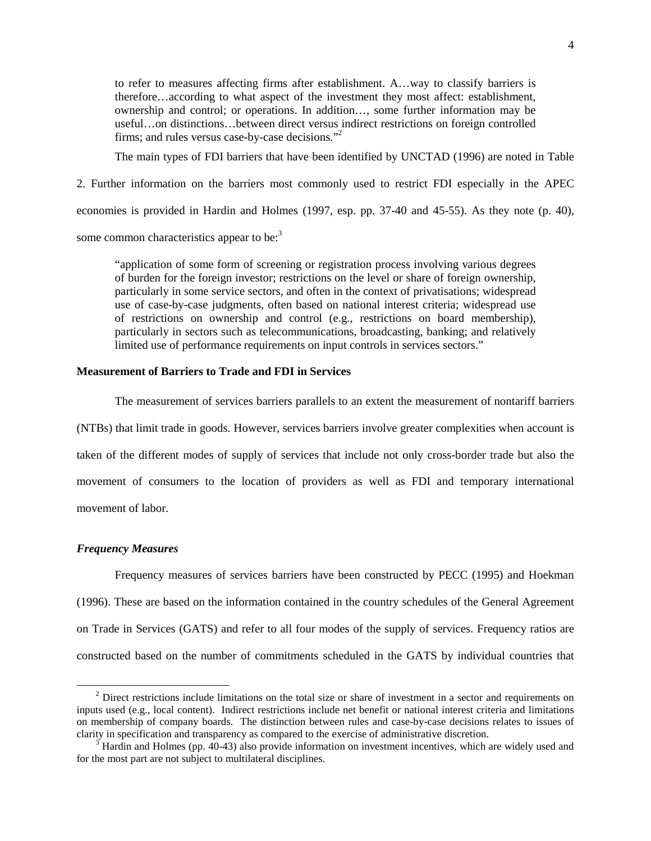to refer to measures affecting firms after establishment. A…way to classify barriers is therefore…according to what aspect of the investment they most affect: establishment, ownership and control; or operations. In addition…, some further information may be useful…on distinctions…between direct versus indirect restrictions on foreign controlled firms; and rules versus case-by-case decisions."<sup>2</sup>

The main types of FDI barriers that have been identified by UNCTAD (1996) are noted in Table

2. Further information on the barriers most commonly used to restrict FDI especially in the APEC economies is provided in Hardin and Holmes (1997, esp. pp. 37-40 and 45-55). As they note (p. 40), some common characteristics appear to be:<sup>3</sup>

"application of some form of screening or registration process involving various degrees of burden for the foreign investor; restrictions on the level or share of foreign ownership, particularly in some service sectors, and often in the context of privatisations; widespread use of case-by-case judgments, often based on national interest criteria; widespread use of restrictions on ownership and control (e.g., restrictions on board membership), particularly in sectors such as telecommunications, broadcasting, banking; and relatively limited use of performance requirements on input controls in services sectors."

#### **Measurement of Barriers to Trade and FDI in Services**

The measurement of services barriers parallels to an extent the measurement of nontariff barriers (NTBs) that limit trade in goods. However, services barriers involve greater complexities when account is taken of the different modes of supply of services that include not only cross-border trade but also the movement of consumers to the location of providers as well as FDI and temporary international movement of labor.

#### *Frequency Measures*

 Frequency measures of services barriers have been constructed by PECC (1995) and Hoekman (1996). These are based on the information contained in the country schedules of the General Agreement on Trade in Services (GATS) and refer to all four modes of the supply of services. Frequency ratios are constructed based on the number of commitments scheduled in the GATS by individual countries that

 <sup>2</sup>  $2$  Direct restrictions include limitations on the total size or share of investment in a sector and requirements on inputs used (e.g., local content). Indirect restrictions include net benefit or national interest criteria and limitations on membership of company boards. The distinction between rules and case-by-case decisions relates to issues of clarity in specification and transparency as compared to the exercise of administrative discretion. 3

 $3<sup>3</sup>$  Hardin and Holmes (pp. 40-43) also provide information on investment incentives, which are widely used and for the most part are not subject to multilateral disciplines.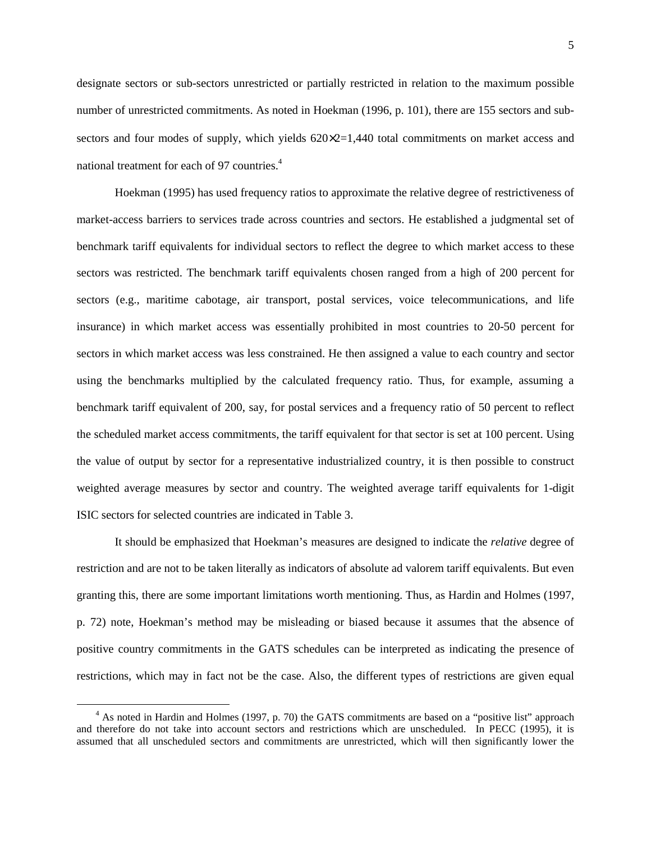designate sectors or sub-sectors unrestricted or partially restricted in relation to the maximum possible number of unrestricted commitments. As noted in Hoekman (1996, p. 101), there are 155 sectors and subsectors and four modes of supply, which yields  $620 \times 2=1,440$  total commitments on market access and national treatment for each of 97 countries.<sup>4</sup>

 Hoekman (1995) has used frequency ratios to approximate the relative degree of restrictiveness of market-access barriers to services trade across countries and sectors. He established a judgmental set of benchmark tariff equivalents for individual sectors to reflect the degree to which market access to these sectors was restricted. The benchmark tariff equivalents chosen ranged from a high of 200 percent for sectors (e.g., maritime cabotage, air transport, postal services, voice telecommunications, and life insurance) in which market access was essentially prohibited in most countries to 20-50 percent for sectors in which market access was less constrained. He then assigned a value to each country and sector using the benchmarks multiplied by the calculated frequency ratio. Thus, for example, assuming a benchmark tariff equivalent of 200, say, for postal services and a frequency ratio of 50 percent to reflect the scheduled market access commitments, the tariff equivalent for that sector is set at 100 percent. Using the value of output by sector for a representative industrialized country, it is then possible to construct weighted average measures by sector and country. The weighted average tariff equivalents for 1-digit ISIC sectors for selected countries are indicated in Table 3.

 It should be emphasized that Hoekman's measures are designed to indicate the *relative* degree of restriction and are not to be taken literally as indicators of absolute ad valorem tariff equivalents. But even granting this, there are some important limitations worth mentioning. Thus, as Hardin and Holmes (1997, p. 72) note, Hoekman's method may be misleading or biased because it assumes that the absence of positive country commitments in the GATS schedules can be interpreted as indicating the presence of restrictions, which may in fact not be the case. Also, the different types of restrictions are given equal

 $\overline{4}$ <sup>4</sup> As noted in Hardin and Holmes (1997, p. 70) the GATS commitments are based on a "positive list" approach and therefore do not take into account sectors and restrictions which are unscheduled. In PECC (1995), it is assumed that all unscheduled sectors and commitments are unrestricted, which will then significantly lower the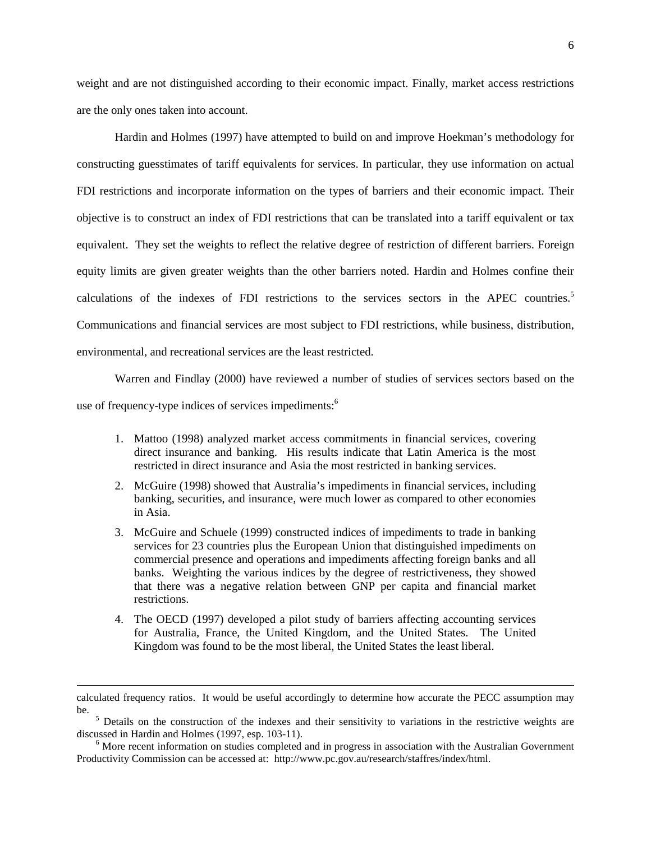weight and are not distinguished according to their economic impact. Finally, market access restrictions are the only ones taken into account.

 Hardin and Holmes (1997) have attempted to build on and improve Hoekman's methodology for constructing guesstimates of tariff equivalents for services. In particular, they use information on actual FDI restrictions and incorporate information on the types of barriers and their economic impact. Their objective is to construct an index of FDI restrictions that can be translated into a tariff equivalent or tax equivalent. They set the weights to reflect the relative degree of restriction of different barriers. Foreign equity limits are given greater weights than the other barriers noted. Hardin and Holmes confine their calculations of the indexes of FDI restrictions to the services sectors in the APEC countries.<sup>5</sup> Communications and financial services are most subject to FDI restrictions, while business, distribution, environmental, and recreational services are the least restricted.

 Warren and Findlay (2000) have reviewed a number of studies of services sectors based on the use of frequency-type indices of services impediments:<sup>6</sup>

- 1. Mattoo (1998) analyzed market access commitments in financial services, covering direct insurance and banking. His results indicate that Latin America is the most restricted in direct insurance and Asia the most restricted in banking services.
- 2. McGuire (1998) showed that Australia's impediments in financial services, including banking, securities, and insurance, were much lower as compared to other economies in Asia.
- 3. McGuire and Schuele (1999) constructed indices of impediments to trade in banking services for 23 countries plus the European Union that distinguished impediments on commercial presence and operations and impediments affecting foreign banks and all banks. Weighting the various indices by the degree of restrictiveness, they showed that there was a negative relation between GNP per capita and financial market restrictions.
- 4. The OECD (1997) developed a pilot study of barriers affecting accounting services for Australia, France, the United Kingdom, and the United States. The United Kingdom was found to be the most liberal, the United States the least liberal.

 $\overline{a}$ 

calculated frequency ratios. It would be useful accordingly to determine how accurate the PECC assumption may be.

 $<sup>5</sup>$  Details on the construction of the indexes and their sensitivity to variations in the restrictive weights are</sup> discussed in Hardin and Holmes (1997, esp. 103-11).

<sup>&</sup>lt;sup>6</sup> More recent information on studies completed and in progress in association with the Australian Government Productivity Commission can be accessed at: http://www.pc.gov.au/research/staffres/index/html.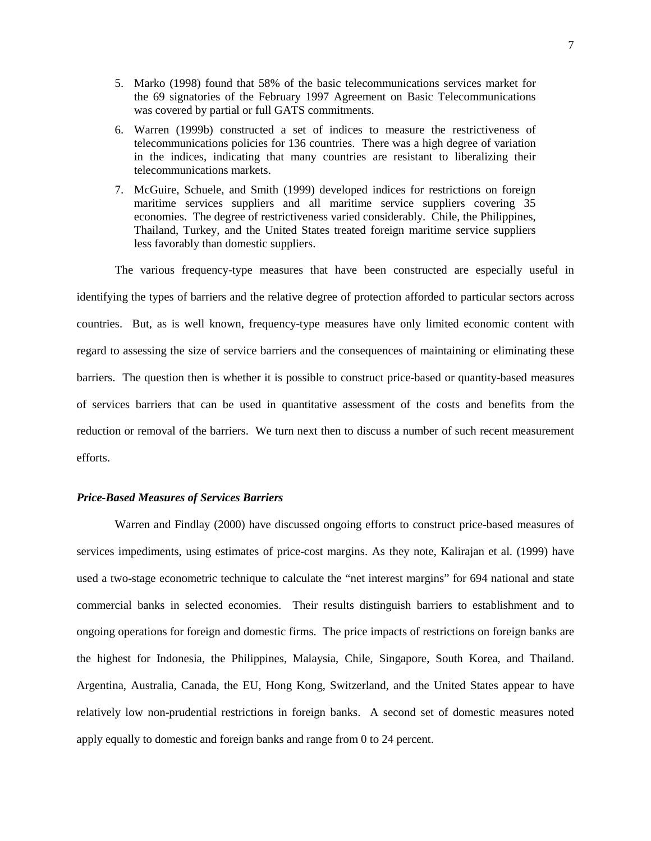- 5. Marko (1998) found that 58% of the basic telecommunications services market for the 69 signatories of the February 1997 Agreement on Basic Telecommunications was covered by partial or full GATS commitments.
- 6. Warren (1999b) constructed a set of indices to measure the restrictiveness of telecommunications policies for 136 countries. There was a high degree of variation in the indices, indicating that many countries are resistant to liberalizing their telecommunications markets.
- 7. McGuire, Schuele, and Smith (1999) developed indices for restrictions on foreign maritime services suppliers and all maritime service suppliers covering 35 economies. The degree of restrictiveness varied considerably. Chile, the Philippines, Thailand, Turkey, and the United States treated foreign maritime service suppliers less favorably than domestic suppliers.

The various frequency-type measures that have been constructed are especially useful in identifying the types of barriers and the relative degree of protection afforded to particular sectors across countries. But, as is well known, frequency-type measures have only limited economic content with regard to assessing the size of service barriers and the consequences of maintaining or eliminating these barriers. The question then is whether it is possible to construct price-based or quantity-based measures of services barriers that can be used in quantitative assessment of the costs and benefits from the reduction or removal of the barriers. We turn next then to discuss a number of such recent measurement efforts.

#### *Price-Based Measures of Services Barriers*

Warren and Findlay (2000) have discussed ongoing efforts to construct price-based measures of services impediments, using estimates of price-cost margins. As they note, Kalirajan et al. (1999) have used a two-stage econometric technique to calculate the "net interest margins" for 694 national and state commercial banks in selected economies. Their results distinguish barriers to establishment and to ongoing operations for foreign and domestic firms. The price impacts of restrictions on foreign banks are the highest for Indonesia, the Philippines, Malaysia, Chile, Singapore, South Korea, and Thailand. Argentina, Australia, Canada, the EU, Hong Kong, Switzerland, and the United States appear to have relatively low non-prudential restrictions in foreign banks. A second set of domestic measures noted apply equally to domestic and foreign banks and range from 0 to 24 percent.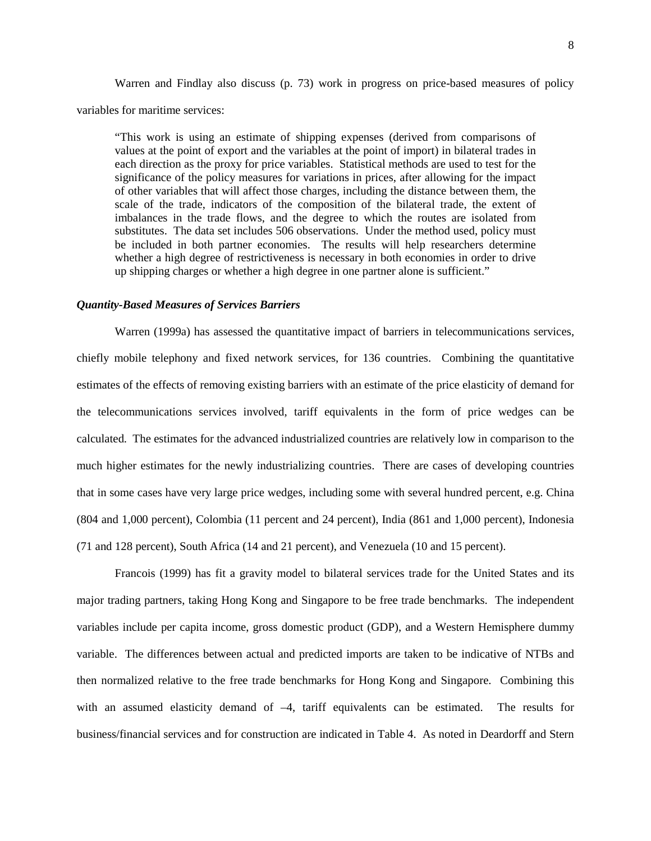Warren and Findlay also discuss (p. 73) work in progress on price-based measures of policy variables for maritime services:

"This work is using an estimate of shipping expenses (derived from comparisons of values at the point of export and the variables at the point of import) in bilateral trades in each direction as the proxy for price variables. Statistical methods are used to test for the significance of the policy measures for variations in prices, after allowing for the impact of other variables that will affect those charges, including the distance between them, the scale of the trade, indicators of the composition of the bilateral trade, the extent of imbalances in the trade flows, and the degree to which the routes are isolated from substitutes. The data set includes 506 observations. Under the method used, policy must be included in both partner economies. The results will help researchers determine whether a high degree of restrictiveness is necessary in both economies in order to drive up shipping charges or whether a high degree in one partner alone is sufficient."

#### *Quantity-Based Measures of Services Barriers*

Warren (1999a) has assessed the quantitative impact of barriers in telecommunications services, chiefly mobile telephony and fixed network services, for 136 countries. Combining the quantitative estimates of the effects of removing existing barriers with an estimate of the price elasticity of demand for the telecommunications services involved, tariff equivalents in the form of price wedges can be calculated. The estimates for the advanced industrialized countries are relatively low in comparison to the much higher estimates for the newly industrializing countries. There are cases of developing countries that in some cases have very large price wedges, including some with several hundred percent, e.g. China (804 and 1,000 percent), Colombia (11 percent and 24 percent), India (861 and 1,000 percent), Indonesia (71 and 128 percent), South Africa (14 and 21 percent), and Venezuela (10 and 15 percent).

 Francois (1999) has fit a gravity model to bilateral services trade for the United States and its major trading partners, taking Hong Kong and Singapore to be free trade benchmarks. The independent variables include per capita income, gross domestic product (GDP), and a Western Hemisphere dummy variable. The differences between actual and predicted imports are taken to be indicative of NTBs and then normalized relative to the free trade benchmarks for Hong Kong and Singapore. Combining this with an assumed elasticity demand of –4, tariff equivalents can be estimated. The results for business/financial services and for construction are indicated in Table 4. As noted in Deardorff and Stern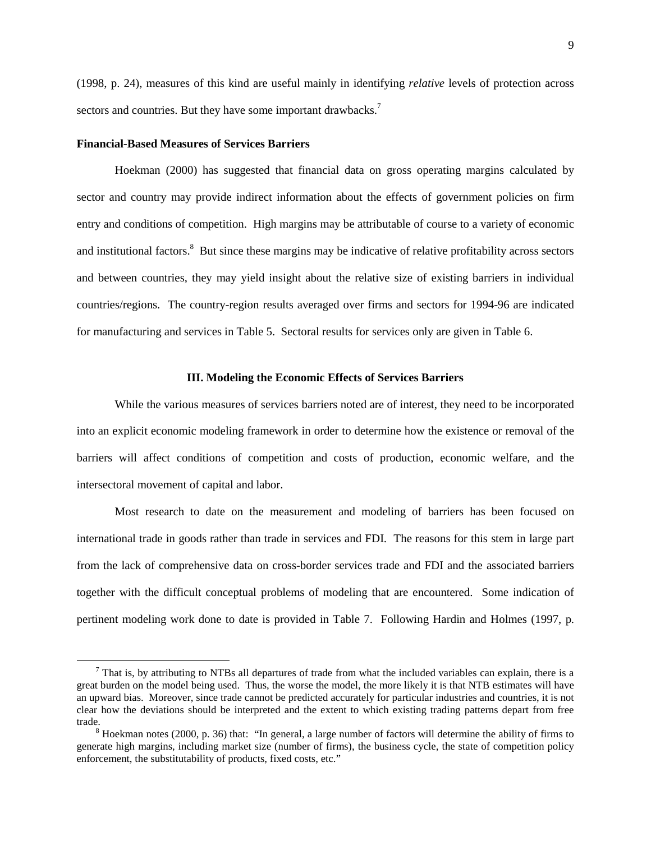(1998, p. 24), measures of this kind are useful mainly in identifying *relative* levels of protection across sectors and countries. But they have some important drawbacks.<sup>7</sup>

#### **Financial-Based Measures of Services Barriers**

 Hoekman (2000) has suggested that financial data on gross operating margins calculated by sector and country may provide indirect information about the effects of government policies on firm entry and conditions of competition. High margins may be attributable of course to a variety of economic and institutional factors.<sup>8</sup> But since these margins may be indicative of relative profitability across sectors and between countries, they may yield insight about the relative size of existing barriers in individual countries/regions. The country-region results averaged over firms and sectors for 1994-96 are indicated for manufacturing and services in Table 5. Sectoral results for services only are given in Table 6.

#### **III. Modeling the Economic Effects of Services Barriers**

While the various measures of services barriers noted are of interest, they need to be incorporated into an explicit economic modeling framework in order to determine how the existence or removal of the barriers will affect conditions of competition and costs of production, economic welfare, and the intersectoral movement of capital and labor.

Most research to date on the measurement and modeling of barriers has been focused on international trade in goods rather than trade in services and FDI. The reasons for this stem in large part from the lack of comprehensive data on cross-border services trade and FDI and the associated barriers together with the difficult conceptual problems of modeling that are encountered. Some indication of pertinent modeling work done to date is provided in Table 7. Following Hardin and Holmes (1997, p.

 $\overline{7}$  $<sup>7</sup>$  That is, by attributing to NTBs all departures of trade from what the included variables can explain, there is a</sup> great burden on the model being used. Thus, the worse the model, the more likely it is that NTB estimates will have an upward bias. Moreover, since trade cannot be predicted accurately for particular industries and countries, it is not clear how the deviations should be interpreted and the extent to which existing trading patterns depart from free trade.

<sup>&</sup>lt;sup>8</sup> Hoekman notes (2000, p. 36) that: "In general, a large number of factors will determine the ability of firms to generate high margins, including market size (number of firms), the business cycle, the state of competition policy enforcement, the substitutability of products, fixed costs, etc."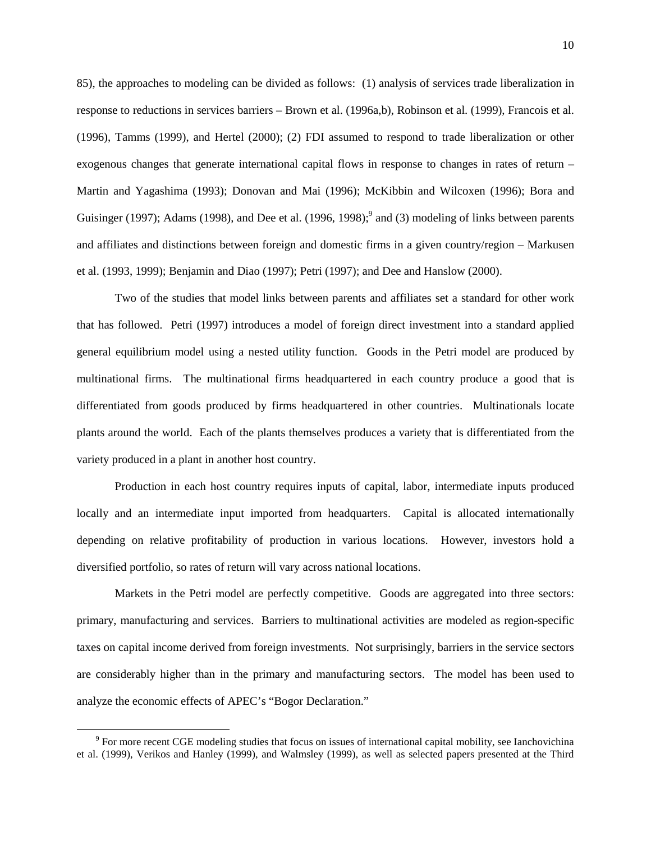85), the approaches to modeling can be divided as follows: (1) analysis of services trade liberalization in response to reductions in services barriers – Brown et al. (1996a,b), Robinson et al. (1999), Francois et al. (1996), Tamms (1999), and Hertel (2000); (2) FDI assumed to respond to trade liberalization or other exogenous changes that generate international capital flows in response to changes in rates of return – Martin and Yagashima (1993); Donovan and Mai (1996); McKibbin and Wilcoxen (1996); Bora and Guisinger (1997); Adams (1998), and Dee et al. (1996, 1998); and (3) modeling of links between parents and affiliates and distinctions between foreign and domestic firms in a given country/region – Markusen et al. (1993, 1999); Benjamin and Diao (1997); Petri (1997); and Dee and Hanslow (2000).

Two of the studies that model links between parents and affiliates set a standard for other work that has followed. Petri (1997) introduces a model of foreign direct investment into a standard applied general equilibrium model using a nested utility function. Goods in the Petri model are produced by multinational firms. The multinational firms headquartered in each country produce a good that is differentiated from goods produced by firms headquartered in other countries. Multinationals locate plants around the world. Each of the plants themselves produces a variety that is differentiated from the variety produced in a plant in another host country.

Production in each host country requires inputs of capital, labor, intermediate inputs produced locally and an intermediate input imported from headquarters. Capital is allocated internationally depending on relative profitability of production in various locations. However, investors hold a diversified portfolio, so rates of return will vary across national locations.

Markets in the Petri model are perfectly competitive. Goods are aggregated into three sectors: primary, manufacturing and services. Barriers to multinational activities are modeled as region-specific taxes on capital income derived from foreign investments. Not surprisingly, barriers in the service sectors are considerably higher than in the primary and manufacturing sectors. The model has been used to analyze the economic effects of APEC's "Bogor Declaration."

 <sup>9</sup>  $9^9$  For more recent CGE modeling studies that focus on issues of international capital mobility, see Ianchovichina et al. (1999), Verikos and Hanley (1999), and Walmsley (1999), as well as selected papers presented at the Third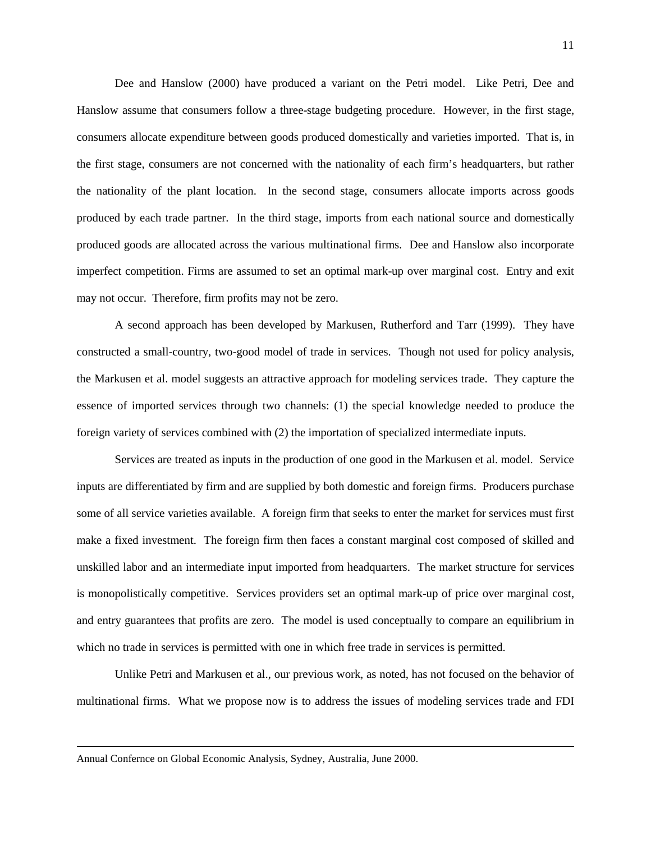Dee and Hanslow (2000) have produced a variant on the Petri model. Like Petri, Dee and Hanslow assume that consumers follow a three-stage budgeting procedure. However, in the first stage, consumers allocate expenditure between goods produced domestically and varieties imported. That is, in the first stage, consumers are not concerned with the nationality of each firm's headquarters, but rather the nationality of the plant location. In the second stage, consumers allocate imports across goods produced by each trade partner. In the third stage, imports from each national source and domestically produced goods are allocated across the various multinational firms. Dee and Hanslow also incorporate imperfect competition. Firms are assumed to set an optimal mark-up over marginal cost. Entry and exit may not occur. Therefore, firm profits may not be zero.

A second approach has been developed by Markusen, Rutherford and Tarr (1999). They have constructed a small-country, two-good model of trade in services. Though not used for policy analysis, the Markusen et al. model suggests an attractive approach for modeling services trade. They capture the essence of imported services through two channels: (1) the special knowledge needed to produce the foreign variety of services combined with (2) the importation of specialized intermediate inputs.

Services are treated as inputs in the production of one good in the Markusen et al. model. Service inputs are differentiated by firm and are supplied by both domestic and foreign firms. Producers purchase some of all service varieties available. A foreign firm that seeks to enter the market for services must first make a fixed investment. The foreign firm then faces a constant marginal cost composed of skilled and unskilled labor and an intermediate input imported from headquarters. The market structure for services is monopolistically competitive. Services providers set an optimal mark-up of price over marginal cost, and entry guarantees that profits are zero. The model is used conceptually to compare an equilibrium in which no trade in services is permitted with one in which free trade in services is permitted.

Unlike Petri and Markusen et al., our previous work, as noted, has not focused on the behavior of multinational firms. What we propose now is to address the issues of modeling services trade and FDI

Annual Confernce on Global Economic Analysis, Sydney, Australia, June 2000.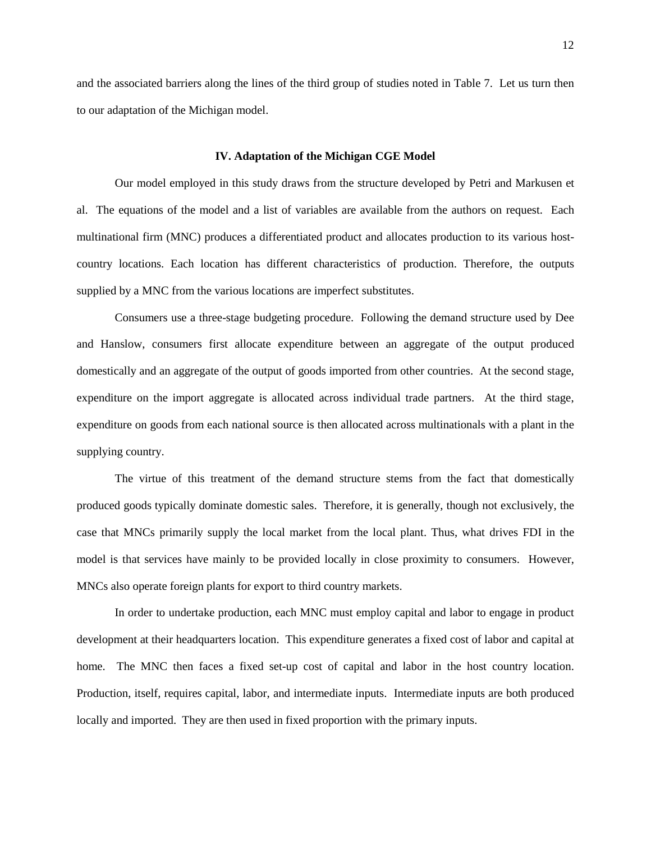and the associated barriers along the lines of the third group of studies noted in Table 7. Let us turn then to our adaptation of the Michigan model.

#### **IV. Adaptation of the Michigan CGE Model**

Our model employed in this study draws from the structure developed by Petri and Markusen et al. The equations of the model and a list of variables are available from the authors on request. Each multinational firm (MNC) produces a differentiated product and allocates production to its various hostcountry locations. Each location has different characteristics of production. Therefore, the outputs supplied by a MNC from the various locations are imperfect substitutes.

Consumers use a three-stage budgeting procedure. Following the demand structure used by Dee and Hanslow, consumers first allocate expenditure between an aggregate of the output produced domestically and an aggregate of the output of goods imported from other countries. At the second stage, expenditure on the import aggregate is allocated across individual trade partners. At the third stage, expenditure on goods from each national source is then allocated across multinationals with a plant in the supplying country.

The virtue of this treatment of the demand structure stems from the fact that domestically produced goods typically dominate domestic sales. Therefore, it is generally, though not exclusively, the case that MNCs primarily supply the local market from the local plant. Thus, what drives FDI in the model is that services have mainly to be provided locally in close proximity to consumers. However, MNCs also operate foreign plants for export to third country markets.

In order to undertake production, each MNC must employ capital and labor to engage in product development at their headquarters location. This expenditure generates a fixed cost of labor and capital at home. The MNC then faces a fixed set-up cost of capital and labor in the host country location. Production, itself, requires capital, labor, and intermediate inputs. Intermediate inputs are both produced locally and imported. They are then used in fixed proportion with the primary inputs.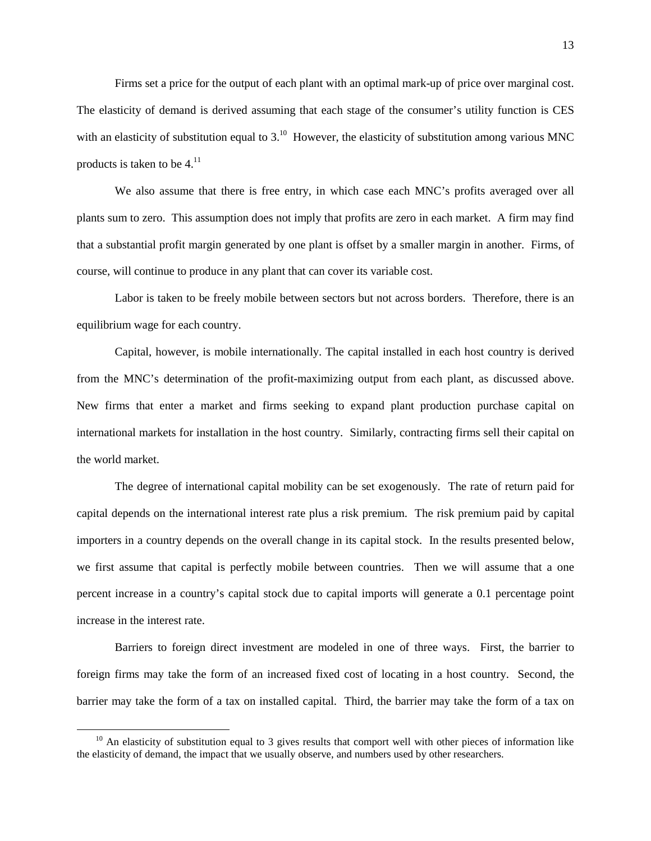Firms set a price for the output of each plant with an optimal mark-up of price over marginal cost. The elasticity of demand is derived assuming that each stage of the consumer's utility function is CES with an elasticity of substitution equal to  $3<sup>10</sup>$  However, the elasticity of substitution among various MNC products is taken to be  $4.^{11}$ .

We also assume that there is free entry, in which case each MNC's profits averaged over all plants sum to zero. This assumption does not imply that profits are zero in each market. A firm may find that a substantial profit margin generated by one plant is offset by a smaller margin in another. Firms, of course, will continue to produce in any plant that can cover its variable cost.

Labor is taken to be freely mobile between sectors but not across borders. Therefore, there is an equilibrium wage for each country.

Capital, however, is mobile internationally. The capital installed in each host country is derived from the MNC's determination of the profit-maximizing output from each plant, as discussed above. New firms that enter a market and firms seeking to expand plant production purchase capital on international markets for installation in the host country. Similarly, contracting firms sell their capital on the world market.

The degree of international capital mobility can be set exogenously. The rate of return paid for capital depends on the international interest rate plus a risk premium. The risk premium paid by capital importers in a country depends on the overall change in its capital stock. In the results presented below, we first assume that capital is perfectly mobile between countries. Then we will assume that a one percent increase in a country's capital stock due to capital imports will generate a 0.1 percentage point increase in the interest rate.

Barriers to foreign direct investment are modeled in one of three ways. First, the barrier to foreign firms may take the form of an increased fixed cost of locating in a host country. Second, the barrier may take the form of a tax on installed capital. Third, the barrier may take the form of a tax on

 $10$  An elasticity of substitution equal to 3 gives results that comport well with other pieces of information like the elasticity of demand, the impact that we usually observe, and numbers used by other researchers.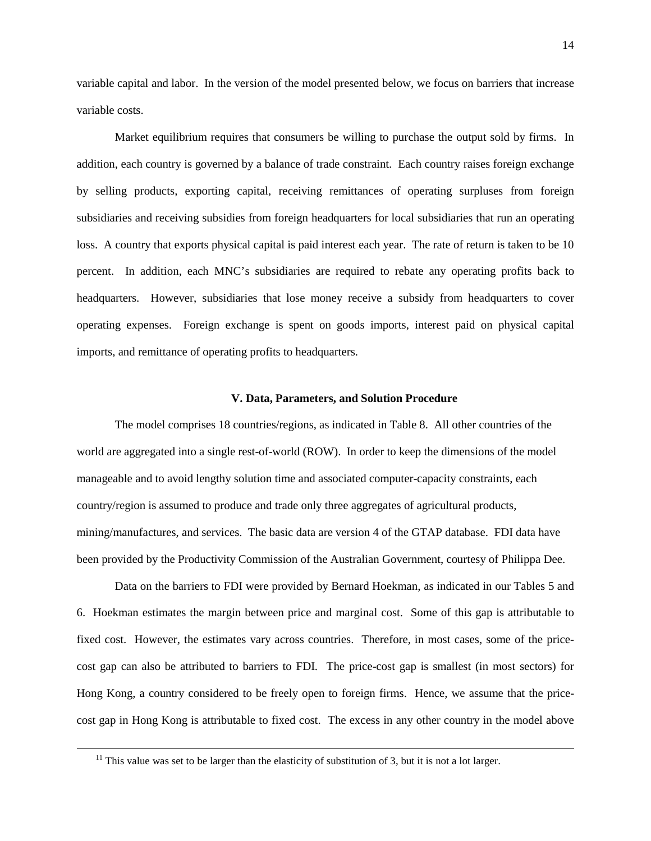variable capital and labor. In the version of the model presented below, we focus on barriers that increase variable costs.

Market equilibrium requires that consumers be willing to purchase the output sold by firms. In addition, each country is governed by a balance of trade constraint. Each country raises foreign exchange by selling products, exporting capital, receiving remittances of operating surpluses from foreign subsidiaries and receiving subsidies from foreign headquarters for local subsidiaries that run an operating loss. A country that exports physical capital is paid interest each year. The rate of return is taken to be 10 percent. In addition, each MNC's subsidiaries are required to rebate any operating profits back to headquarters. However, subsidiaries that lose money receive a subsidy from headquarters to cover operating expenses. Foreign exchange is spent on goods imports, interest paid on physical capital imports, and remittance of operating profits to headquarters.

#### **V. Data, Parameters, and Solution Procedure**

The model comprises 18 countries/regions, as indicated in Table 8. All other countries of the world are aggregated into a single rest-of-world (ROW). In order to keep the dimensions of the model manageable and to avoid lengthy solution time and associated computer-capacity constraints, each country/region is assumed to produce and trade only three aggregates of agricultural products, mining/manufactures, and services. The basic data are version 4 of the GTAP database. FDI data have been provided by the Productivity Commission of the Australian Government, courtesy of Philippa Dee.

Data on the barriers to FDI were provided by Bernard Hoekman, as indicated in our Tables 5 and 6. Hoekman estimates the margin between price and marginal cost. Some of this gap is attributable to fixed cost. However, the estimates vary across countries. Therefore, in most cases, some of the pricecost gap can also be attributed to barriers to FDI. The price-cost gap is smallest (in most sectors) for Hong Kong, a country considered to be freely open to foreign firms. Hence, we assume that the pricecost gap in Hong Kong is attributable to fixed cost. The excess in any other country in the model above

 $11$  This value was set to be larger than the elasticity of substitution of 3, but it is not a lot larger.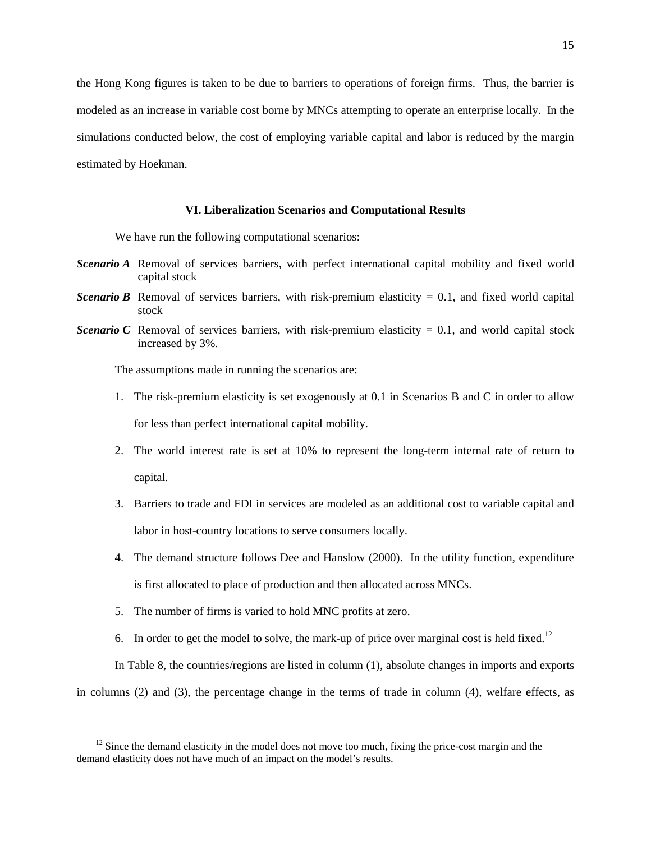the Hong Kong figures is taken to be due to barriers to operations of foreign firms. Thus, the barrier is modeled as an increase in variable cost borne by MNCs attempting to operate an enterprise locally. In the simulations conducted below, the cost of employing variable capital and labor is reduced by the margin estimated by Hoekman.

#### **VI. Liberalization Scenarios and Computational Results**

We have run the following computational scenarios:

- *Scenario A* Removal of services barriers, with perfect international capital mobility and fixed world capital stock
- *Scenario B* Removal of services barriers, with risk-premium elasticity  $= 0.1$ , and fixed world capital stock
- *Scenario C* Removal of services barriers, with risk-premium elasticity  $= 0.1$ , and world capital stock increased by 3%.

The assumptions made in running the scenarios are:

- 1. The risk-premium elasticity is set exogenously at 0.1 in Scenarios B and C in order to allow for less than perfect international capital mobility.
- 2. The world interest rate is set at 10% to represent the long-term internal rate of return to capital.
- 3. Barriers to trade and FDI in services are modeled as an additional cost to variable capital and labor in host-country locations to serve consumers locally.
- 4. The demand structure follows Dee and Hanslow (2000). In the utility function, expenditure is first allocated to place of production and then allocated across MNCs.
- 5. The number of firms is varied to hold MNC profits at zero.
- 6. In order to get the model to solve, the mark-up of price over marginal cost is held fixed.<sup>12</sup>

In Table 8, the countries/regions are listed in column (1), absolute changes in imports and exports

in columns (2) and (3), the percentage change in the terms of trade in column (4), welfare effects, as

 $12$  Since the demand elasticity in the model does not move too much, fixing the price-cost margin and the demand elasticity does not have much of an impact on the model's results.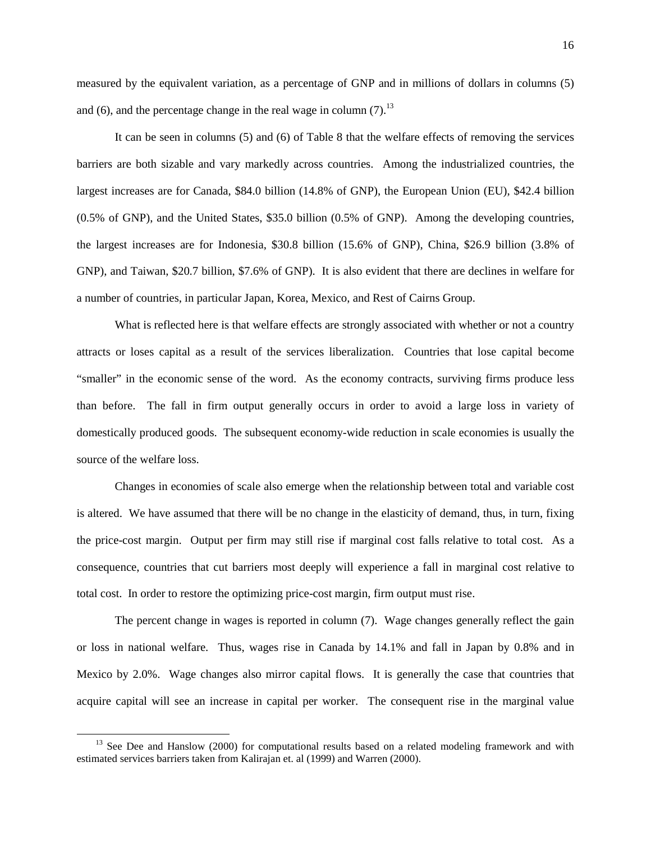measured by the equivalent variation, as a percentage of GNP and in millions of dollars in columns (5) and (6), and the percentage change in the real wage in column  $(7)$ .<sup>13</sup>

 It can be seen in columns (5) and (6) of Table 8 that the welfare effects of removing the services barriers are both sizable and vary markedly across countries. Among the industrialized countries, the largest increases are for Canada, \$84.0 billion (14.8% of GNP), the European Union (EU), \$42.4 billion (0.5% of GNP), and the United States, \$35.0 billion (0.5% of GNP). Among the developing countries, the largest increases are for Indonesia, \$30.8 billion (15.6% of GNP), China, \$26.9 billion (3.8% of GNP), and Taiwan, \$20.7 billion, \$7.6% of GNP). It is also evident that there are declines in welfare for a number of countries, in particular Japan, Korea, Mexico, and Rest of Cairns Group.

What is reflected here is that welfare effects are strongly associated with whether or not a country attracts or loses capital as a result of the services liberalization. Countries that lose capital become "smaller" in the economic sense of the word. As the economy contracts, surviving firms produce less than before. The fall in firm output generally occurs in order to avoid a large loss in variety of domestically produced goods. The subsequent economy-wide reduction in scale economies is usually the source of the welfare loss.

 Changes in economies of scale also emerge when the relationship between total and variable cost is altered. We have assumed that there will be no change in the elasticity of demand, thus, in turn, fixing the price-cost margin. Output per firm may still rise if marginal cost falls relative to total cost. As a consequence, countries that cut barriers most deeply will experience a fall in marginal cost relative to total cost. In order to restore the optimizing price-cost margin, firm output must rise.

 The percent change in wages is reported in column (7). Wage changes generally reflect the gain or loss in national welfare. Thus, wages rise in Canada by 14.1% and fall in Japan by 0.8% and in Mexico by 2.0%. Wage changes also mirror capital flows. It is generally the case that countries that acquire capital will see an increase in capital per worker. The consequent rise in the marginal value

<sup>&</sup>lt;sup>13</sup> See Dee and Hanslow (2000) for computational results based on a related modeling framework and with estimated services barriers taken from Kalirajan et. al (1999) and Warren (2000).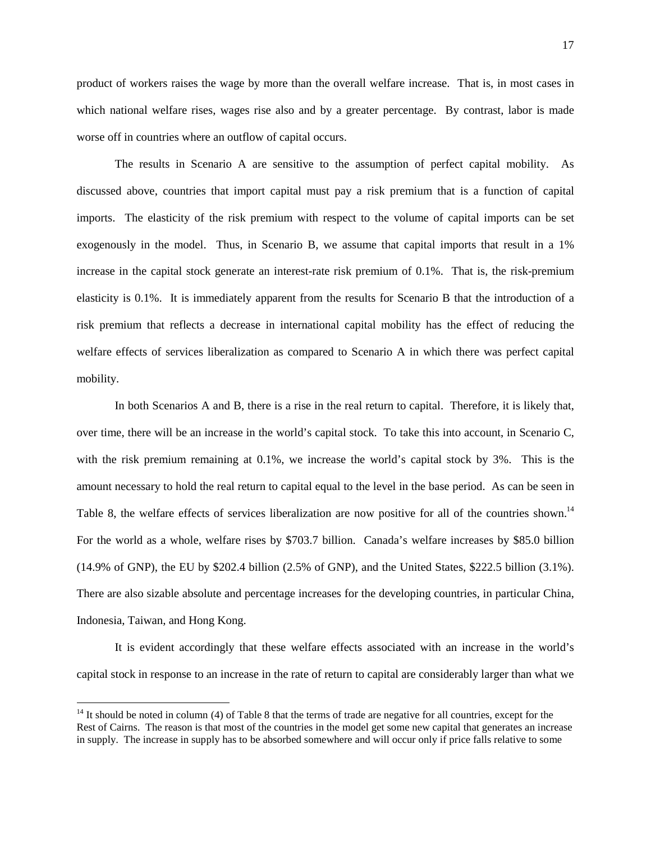product of workers raises the wage by more than the overall welfare increase. That is, in most cases in which national welfare rises, wages rise also and by a greater percentage. By contrast, labor is made worse off in countries where an outflow of capital occurs.

 The results in Scenario A are sensitive to the assumption of perfect capital mobility. As discussed above, countries that import capital must pay a risk premium that is a function of capital imports. The elasticity of the risk premium with respect to the volume of capital imports can be set exogenously in the model. Thus, in Scenario B, we assume that capital imports that result in a 1% increase in the capital stock generate an interest-rate risk premium of 0.1%. That is, the risk-premium elasticity is 0.1%. It is immediately apparent from the results for Scenario B that the introduction of a risk premium that reflects a decrease in international capital mobility has the effect of reducing the welfare effects of services liberalization as compared to Scenario A in which there was perfect capital mobility.

 In both Scenarios A and B, there is a rise in the real return to capital. Therefore, it is likely that, over time, there will be an increase in the world's capital stock. To take this into account, in Scenario C, with the risk premium remaining at 0.1%, we increase the world's capital stock by 3%. This is the amount necessary to hold the real return to capital equal to the level in the base period. As can be seen in Table 8, the welfare effects of services liberalization are now positive for all of the countries shown.<sup>14</sup> For the world as a whole, welfare rises by \$703.7 billion. Canada's welfare increases by \$85.0 billion (14.9% of GNP), the EU by \$202.4 billion (2.5% of GNP), and the United States, \$222.5 billion (3.1%). There are also sizable absolute and percentage increases for the developing countries, in particular China, Indonesia, Taiwan, and Hong Kong.

It is evident accordingly that these welfare effects associated with an increase in the world's capital stock in response to an increase in the rate of return to capital are considerably larger than what we

 $\overline{a}$ 

 $14$  It should be noted in column (4) of Table 8 that the terms of trade are negative for all countries, except for the Rest of Cairns. The reason is that most of the countries in the model get some new capital that generates an increase in supply. The increase in supply has to be absorbed somewhere and will occur only if price falls relative to some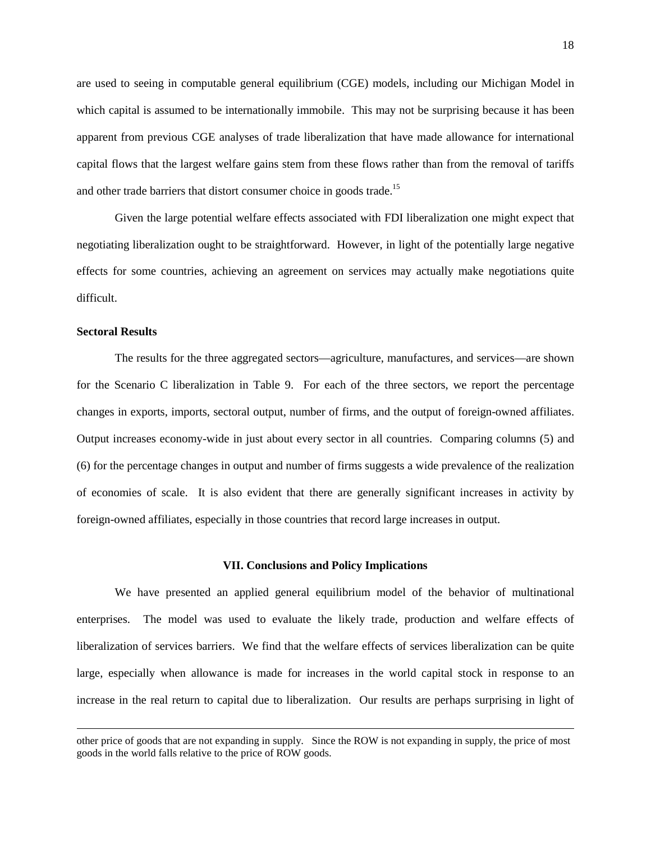are used to seeing in computable general equilibrium (CGE) models, including our Michigan Model in which capital is assumed to be internationally immobile. This may not be surprising because it has been apparent from previous CGE analyses of trade liberalization that have made allowance for international capital flows that the largest welfare gains stem from these flows rather than from the removal of tariffs and other trade barriers that distort consumer choice in goods trade.<sup>15</sup>

Given the large potential welfare effects associated with FDI liberalization one might expect that negotiating liberalization ought to be straightforward. However, in light of the potentially large negative effects for some countries, achieving an agreement on services may actually make negotiations quite difficult.

#### **Sectoral Results**

The results for the three aggregated sectors—agriculture, manufactures, and services—are shown for the Scenario C liberalization in Table 9. For each of the three sectors, we report the percentage changes in exports, imports, sectoral output, number of firms, and the output of foreign-owned affiliates. Output increases economy-wide in just about every sector in all countries. Comparing columns (5) and (6) for the percentage changes in output and number of firms suggests a wide prevalence of the realization of economies of scale. It is also evident that there are generally significant increases in activity by foreign-owned affiliates, especially in those countries that record large increases in output.

#### **VII. Conclusions and Policy Implications**

We have presented an applied general equilibrium model of the behavior of multinational enterprises. The model was used to evaluate the likely trade, production and welfare effects of liberalization of services barriers. We find that the welfare effects of services liberalization can be quite large, especially when allowance is made for increases in the world capital stock in response to an increase in the real return to capital due to liberalization. Our results are perhaps surprising in light of

other price of goods that are not expanding in supply. Since the ROW is not expanding in supply, the price of most goods in the world falls relative to the price of ROW goods.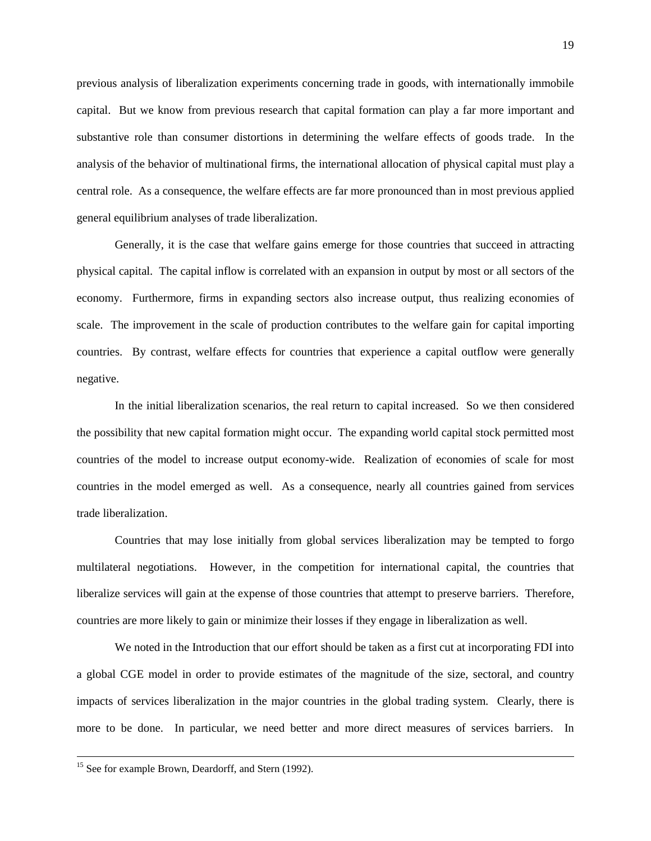previous analysis of liberalization experiments concerning trade in goods, with internationally immobile capital. But we know from previous research that capital formation can play a far more important and substantive role than consumer distortions in determining the welfare effects of goods trade. In the analysis of the behavior of multinational firms, the international allocation of physical capital must play a central role. As a consequence, the welfare effects are far more pronounced than in most previous applied general equilibrium analyses of trade liberalization.

Generally, it is the case that welfare gains emerge for those countries that succeed in attracting physical capital. The capital inflow is correlated with an expansion in output by most or all sectors of the economy. Furthermore, firms in expanding sectors also increase output, thus realizing economies of scale. The improvement in the scale of production contributes to the welfare gain for capital importing countries. By contrast, welfare effects for countries that experience a capital outflow were generally negative.

In the initial liberalization scenarios, the real return to capital increased. So we then considered the possibility that new capital formation might occur. The expanding world capital stock permitted most countries of the model to increase output economy-wide. Realization of economies of scale for most countries in the model emerged as well. As a consequence, nearly all countries gained from services trade liberalization.

Countries that may lose initially from global services liberalization may be tempted to forgo multilateral negotiations. However, in the competition for international capital, the countries that liberalize services will gain at the expense of those countries that attempt to preserve barriers. Therefore, countries are more likely to gain or minimize their losses if they engage in liberalization as well.

We noted in the Introduction that our effort should be taken as a first cut at incorporating FDI into a global CGE model in order to provide estimates of the magnitude of the size, sectoral, and country impacts of services liberalization in the major countries in the global trading system. Clearly, there is more to be done. In particular, we need better and more direct measures of services barriers. In

<sup>&</sup>lt;sup>15</sup> See for example Brown, Deardorff, and Stern (1992).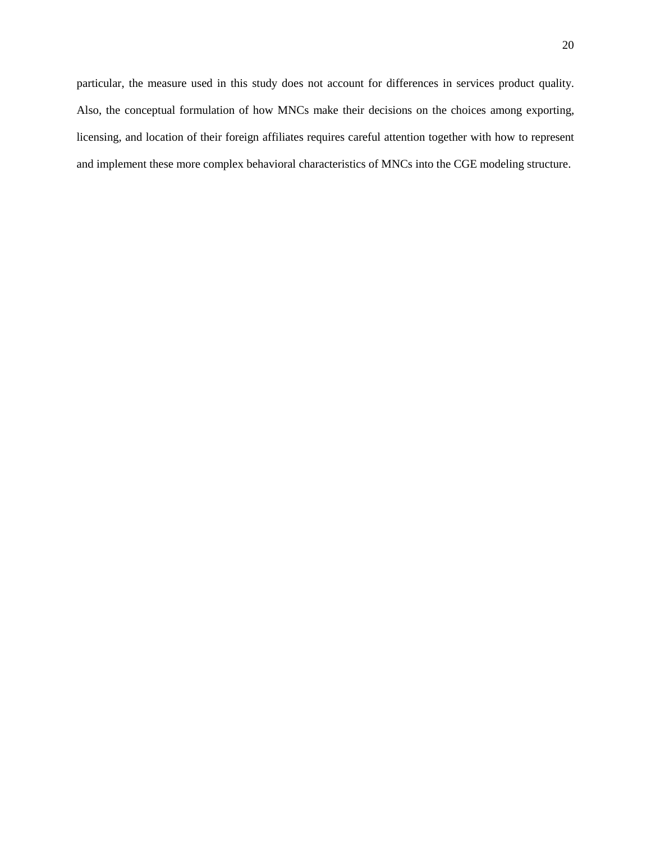particular, the measure used in this study does not account for differences in services product quality. Also, the conceptual formulation of how MNCs make their decisions on the choices among exporting, licensing, and location of their foreign affiliates requires careful attention together with how to represent and implement these more complex behavioral characteristics of MNCs into the CGE modeling structure.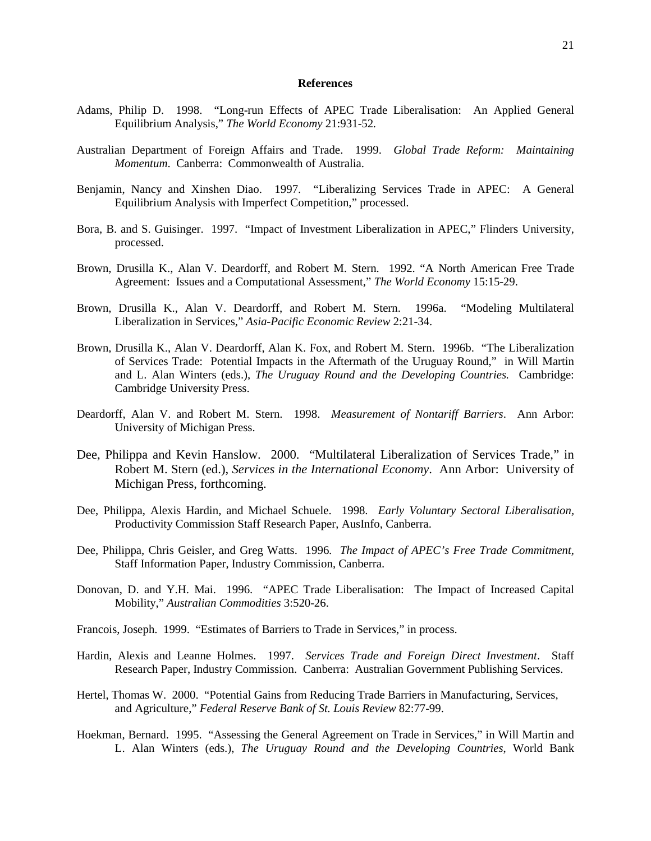#### **References**

- Adams, Philip D. 1998. "Long-run Effects of APEC Trade Liberalisation: An Applied General Equilibrium Analysis," *The World Economy* 21:931-52*.*
- Australian Department of Foreign Affairs and Trade. 1999. *Global Trade Reform: Maintaining Momentum*. Canberra: Commonwealth of Australia.
- Benjamin, Nancy and Xinshen Diao. 1997. "Liberalizing Services Trade in APEC: A General Equilibrium Analysis with Imperfect Competition," processed.
- Bora, B. and S. Guisinger. 1997. "Impact of Investment Liberalization in APEC," Flinders University, processed.
- Brown, Drusilla K., Alan V. Deardorff, and Robert M. Stern. 1992. "A North American Free Trade Agreement: Issues and a Computational Assessment," *The World Economy* 15:15-29.
- Brown, Drusilla K., Alan V. Deardorff, and Robert M. Stern. 1996a. "Modeling Multilateral Liberalization in Services," *Asia-Pacific Economic Review* 2:21-34.
- Brown, Drusilla K., Alan V. Deardorff, Alan K. Fox, and Robert M. Stern. 1996b. "The Liberalization of Services Trade: Potential Impacts in the Aftermath of the Uruguay Round," in Will Martin and L. Alan Winters (eds.), *The Uruguay Round and the Developing Countries.* Cambridge: Cambridge University Press.
- Deardorff, Alan V. and Robert M. Stern. 1998. *Measurement of Nontariff Barriers*. Ann Arbor: University of Michigan Press.
- Dee, Philippa and Kevin Hanslow. 2000. "Multilateral Liberalization of Services Trade," in Robert M. Stern (ed.), *Services in the International Economy*. Ann Arbor: University of Michigan Press, forthcoming.
- Dee, Philippa, Alexis Hardin, and Michael Schuele. 1998. *Early Voluntary Sectoral Liberalisation,*  Productivity Commission Staff Research Paper, AusInfo, Canberra.
- Dee, Philippa, Chris Geisler, and Greg Watts. 1996. *The Impact of APEC's Free Trade Commitment,*  Staff Information Paper, Industry Commission, Canberra.
- Donovan, D. and Y.H. Mai. 1996. "APEC Trade Liberalisation: The Impact of Increased Capital Mobility," *Australian Commodities* 3:520-26.
- Francois, Joseph. 1999. "Estimates of Barriers to Trade in Services," in process.
- Hardin, Alexis and Leanne Holmes. 1997. *Services Trade and Foreign Direct Investment*. Staff Research Paper, Industry Commission. Canberra: Australian Government Publishing Services.
- Hertel, Thomas W. 2000. "Potential Gains from Reducing Trade Barriers in Manufacturing, Services, and Agriculture," *Federal Reserve Bank of St. Louis Review* 82:77-99.
- Hoekman, Bernard. 1995. "Assessing the General Agreement on Trade in Services," in Will Martin and L. Alan Winters (eds.), *The Uruguay Round and the Developing Countries*, World Bank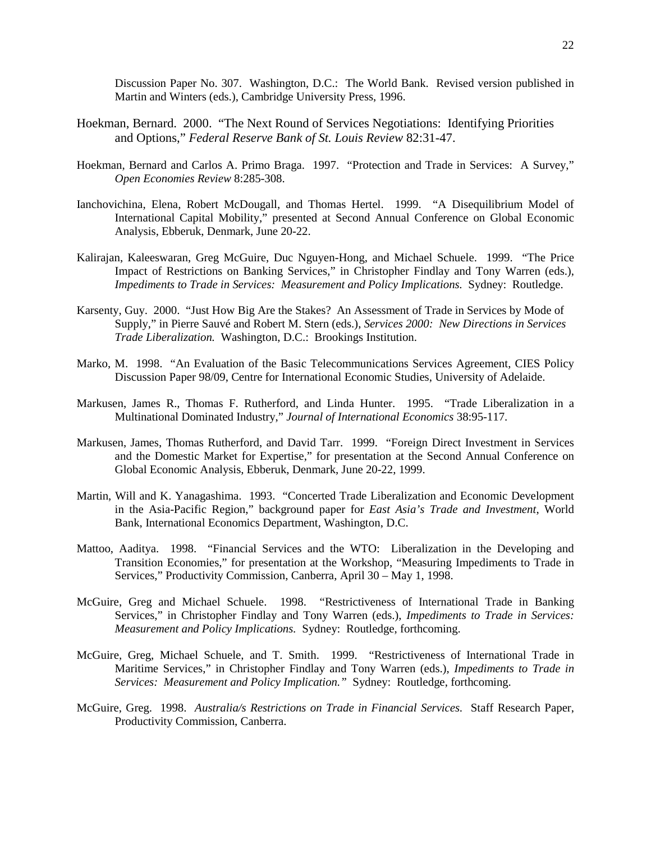Discussion Paper No. 307. Washington, D.C.: The World Bank. Revised version published in Martin and Winters (eds.), Cambridge University Press, 1996.

- Hoekman, Bernard. 2000. "The Next Round of Services Negotiations: Identifying Priorities and Options," *Federal Reserve Bank of St. Louis Review* 82:31-47.
- Hoekman, Bernard and Carlos A. Primo Braga. 1997. "Protection and Trade in Services: A Survey," *Open Economies Review* 8:285-308.
- Ianchovichina, Elena, Robert McDougall, and Thomas Hertel. 1999. "A Disequilibrium Model of International Capital Mobility," presented at Second Annual Conference on Global Economic Analysis, Ebberuk, Denmark, June 20-22.
- Kalirajan, Kaleeswaran, Greg McGuire, Duc Nguyen-Hong, and Michael Schuele. 1999. "The Price Impact of Restrictions on Banking Services," in Christopher Findlay and Tony Warren (eds.), *Impediments to Trade in Services: Measurement and Policy Implications.* Sydney: Routledge.
- Karsenty, Guy. 2000. "Just How Big Are the Stakes? An Assessment of Trade in Services by Mode of Supply," in Pierre Sauvé and Robert M. Stern (eds.), *Services 2000: New Directions in Services Trade Liberalization.* Washington, D.C.: Brookings Institution.
- Marko, M. 1998. "An Evaluation of the Basic Telecommunications Services Agreement, CIES Policy Discussion Paper 98/09, Centre for International Economic Studies, University of Adelaide.
- Markusen, James R., Thomas F. Rutherford, and Linda Hunter. 1995. "Trade Liberalization in a Multinational Dominated Industry," *Journal of International Economics* 38:95-117.
- Markusen, James, Thomas Rutherford, and David Tarr. 1999. "Foreign Direct Investment in Services and the Domestic Market for Expertise," for presentation at the Second Annual Conference on Global Economic Analysis, Ebberuk, Denmark, June 20-22, 1999.
- Martin, Will and K. Yanagashima. 1993. "Concerted Trade Liberalization and Economic Development in the Asia-Pacific Region," background paper for *East Asia's Trade and Investment*, World Bank, International Economics Department, Washington, D.C.
- Mattoo, Aaditya. 1998. "Financial Services and the WTO: Liberalization in the Developing and Transition Economies," for presentation at the Workshop, "Measuring Impediments to Trade in Services," Productivity Commission, Canberra, April 30 – May 1, 1998.
- McGuire, Greg and Michael Schuele. 1998. "Restrictiveness of International Trade in Banking Services," in Christopher Findlay and Tony Warren (eds.), *Impediments to Trade in Services: Measurement and Policy Implications.* Sydney: Routledge, forthcoming.
- McGuire, Greg, Michael Schuele, and T. Smith. 1999. "Restrictiveness of International Trade in Maritime Services," in Christopher Findlay and Tony Warren (eds.), *Impediments to Trade in Services: Measurement and Policy Implication."* Sydney: Routledge, forthcoming.
- McGuire, Greg. 1998. *Australia/s Restrictions on Trade in Financial Services.* Staff Research Paper, Productivity Commission, Canberra.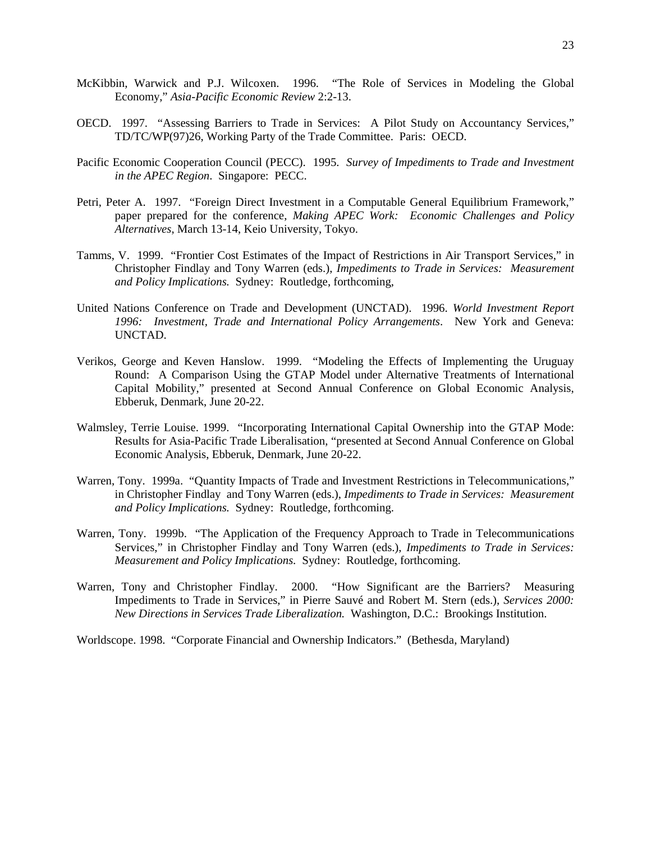- McKibbin, Warwick and P.J. Wilcoxen. 1996. "The Role of Services in Modeling the Global Economy," *Asia-Pacific Economic Review* 2:2-13.
- OECD. 1997. "Assessing Barriers to Trade in Services: A Pilot Study on Accountancy Services," TD/TC/WP(97)26, Working Party of the Trade Committee. Paris: OECD.
- Pacific Economic Cooperation Council (PECC). 1995. *Survey of Impediments to Trade and Investment in the APEC Region*. Singapore: PECC.
- Petri, Peter A. 1997. "Foreign Direct Investment in a Computable General Equilibrium Framework," paper prepared for the conference, *Making APEC Work: Economic Challenges and Policy Alternatives*, March 13-14, Keio University, Tokyo.
- Tamms, V. 1999. "Frontier Cost Estimates of the Impact of Restrictions in Air Transport Services," in Christopher Findlay and Tony Warren (eds.), *Impediments to Trade in Services: Measurement and Policy Implications.* Sydney: Routledge, forthcoming,
- United Nations Conference on Trade and Development (UNCTAD). 1996. *World Investment Report 1996: Investment, Trade and International Policy Arrangements*. New York and Geneva: UNCTAD.
- Verikos, George and Keven Hanslow. 1999. "Modeling the Effects of Implementing the Uruguay Round: A Comparison Using the GTAP Model under Alternative Treatments of International Capital Mobility," presented at Second Annual Conference on Global Economic Analysis, Ebberuk, Denmark, June 20-22.
- Walmsley, Terrie Louise. 1999. "Incorporating International Capital Ownership into the GTAP Mode: Results for Asia-Pacific Trade Liberalisation, "presented at Second Annual Conference on Global Economic Analysis, Ebberuk, Denmark, June 20-22.
- Warren, Tony. 1999a. "Quantity Impacts of Trade and Investment Restrictions in Telecommunications," in Christopher Findlay and Tony Warren (eds.), *Impediments to Trade in Services: Measurement and Policy Implications.* Sydney: Routledge, forthcoming.
- Warren, Tony. 1999b. "The Application of the Frequency Approach to Trade in Telecommunications Services," in Christopher Findlay and Tony Warren (eds.), *Impediments to Trade in Services: Measurement and Policy Implications.* Sydney: Routledge, forthcoming.
- Warren, Tony and Christopher Findlay. 2000. "How Significant are the Barriers? Measuring Impediments to Trade in Services," in Pierre Sauvé and Robert M. Stern (eds.), *Services 2000: New Directions in Services Trade Liberalization.* Washington, D.C.: Brookings Institution.
- Worldscope. 1998. "Corporate Financial and Ownership Indicators." (Bethesda, Maryland)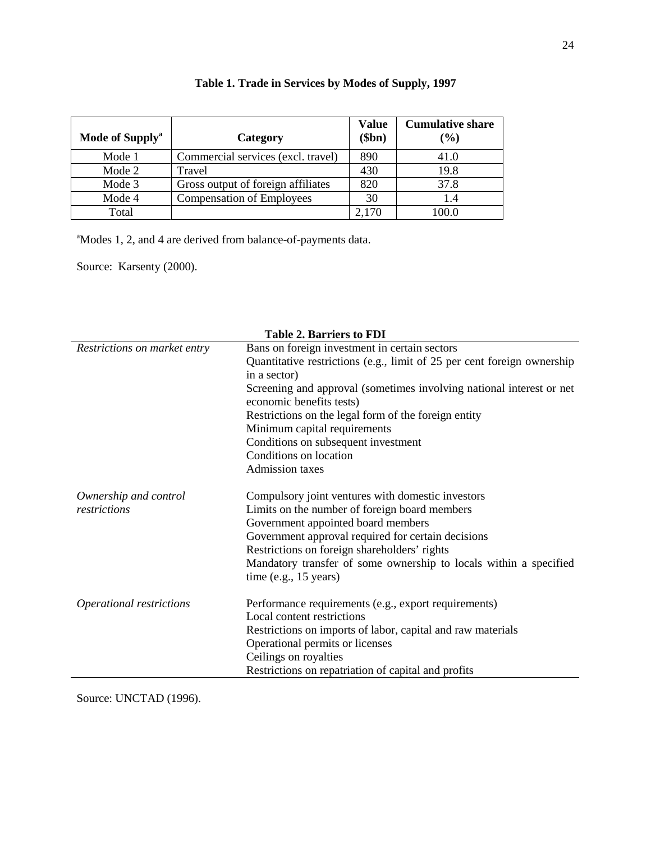| Mode of Supply <sup>a</sup> | Category                           | <b>Value</b><br>\$bm) | <b>Cumulative share</b><br>$($ %) |
|-----------------------------|------------------------------------|-----------------------|-----------------------------------|
| Mode 1                      | Commercial services (excl. travel) | 890                   | 41.0                              |
| Mode 2                      | Travel                             | 430                   | 19.8                              |
| Mode 3                      | Gross output of foreign affiliates | 820                   | 37.8                              |
| Mode 4                      | <b>Compensation of Employees</b>   | 30                    | 1.4                               |
| Total                       |                                    | 2,170                 | 100.0                             |

## **Table 1. Trade in Services by Modes of Supply, 1997**

<sup>a</sup>Modes 1, 2, and 4 are derived from balance-of-payments data.

Source: Karsenty (2000).

| <b>Table 2. Barriers to FDI</b> |                                                                                                  |  |  |  |  |  |  |  |
|---------------------------------|--------------------------------------------------------------------------------------------------|--|--|--|--|--|--|--|
| Restrictions on market entry    | Bans on foreign investment in certain sectors                                                    |  |  |  |  |  |  |  |
|                                 | Quantitative restrictions (e.g., limit of 25 per cent foreign ownership                          |  |  |  |  |  |  |  |
|                                 | in a sector)                                                                                     |  |  |  |  |  |  |  |
|                                 | Screening and approval (sometimes involving national interest or net<br>economic benefits tests) |  |  |  |  |  |  |  |
|                                 | Restrictions on the legal form of the foreign entity                                             |  |  |  |  |  |  |  |
|                                 | Minimum capital requirements                                                                     |  |  |  |  |  |  |  |
|                                 | Conditions on subsequent investment                                                              |  |  |  |  |  |  |  |
|                                 | Conditions on location                                                                           |  |  |  |  |  |  |  |
|                                 | <b>Admission</b> taxes                                                                           |  |  |  |  |  |  |  |
| Ownership and control           | Compulsory joint ventures with domestic investors                                                |  |  |  |  |  |  |  |
| restrictions                    | Limits on the number of foreign board members                                                    |  |  |  |  |  |  |  |
|                                 | Government appointed board members                                                               |  |  |  |  |  |  |  |
|                                 | Government approval required for certain decisions                                               |  |  |  |  |  |  |  |
|                                 | Restrictions on foreign shareholders' rights                                                     |  |  |  |  |  |  |  |
|                                 | Mandatory transfer of some ownership to locals within a specified                                |  |  |  |  |  |  |  |
|                                 | time $(e.g., 15 years)$                                                                          |  |  |  |  |  |  |  |
| Operational restrictions        | Performance requirements (e.g., export requirements)                                             |  |  |  |  |  |  |  |
|                                 | Local content restrictions                                                                       |  |  |  |  |  |  |  |
|                                 | Restrictions on imports of labor, capital and raw materials                                      |  |  |  |  |  |  |  |
|                                 | Operational permits or licenses                                                                  |  |  |  |  |  |  |  |
|                                 | Ceilings on royalties                                                                            |  |  |  |  |  |  |  |
|                                 | Restrictions on repatriation of capital and profits                                              |  |  |  |  |  |  |  |

Source: UNCTAD (1996).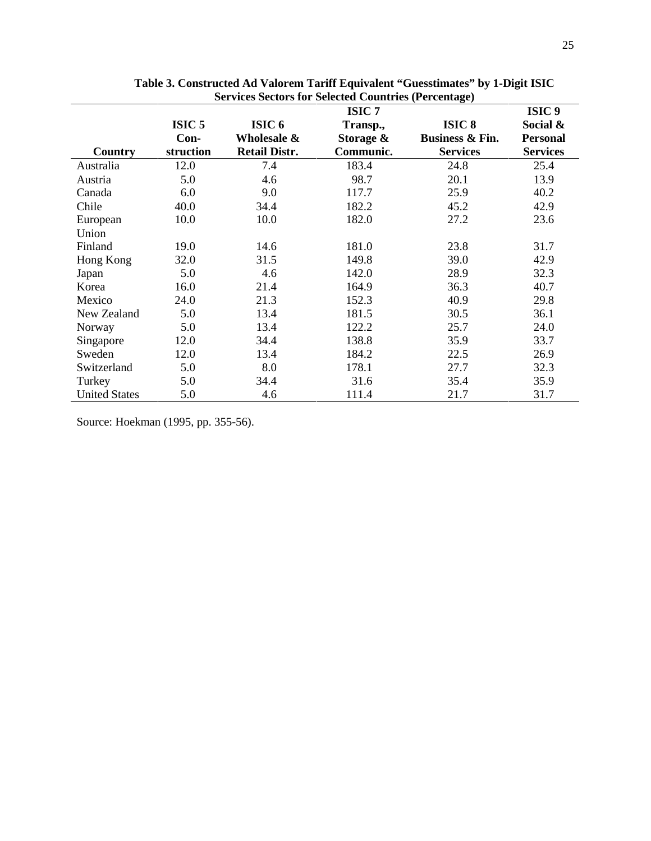|                      |                   | ISIC <sub>9</sub>    |           |                            |                 |
|----------------------|-------------------|----------------------|-----------|----------------------------|-----------------|
|                      | ISIC <sub>5</sub> | ISIC <sub>6</sub>    | Transp.,  | ISIC <sub>8</sub>          | Social &        |
|                      | Con-              | Wholesale &          | Storage & | <b>Business &amp; Fin.</b> | <b>Personal</b> |
| Country              | struction         | <b>Retail Distr.</b> | Communic. | <b>Services</b>            | <b>Services</b> |
| Australia            | 12.0              | 7.4                  | 183.4     | 24.8                       | 25.4            |
| Austria              | 5.0               | 4.6                  | 98.7      | 20.1                       | 13.9            |
| Canada               | 6.0               | 9.0                  | 117.7     | 25.9                       | 40.2            |
| Chile                | 40.0              | 34.4                 | 182.2     | 45.2                       | 42.9            |
| European             | 10.0              | 10.0                 | 182.0     | 27.2                       | 23.6            |
| Union                |                   |                      |           |                            |                 |
| Finland              | 19.0              | 14.6                 | 181.0     | 23.8                       | 31.7            |
| Hong Kong            | 32.0              | 31.5                 | 149.8     | 39.0                       | 42.9            |
| Japan                | 5.0               | 4.6                  | 142.0     | 28.9                       | 32.3            |
| Korea                | 16.0              | 21.4                 | 164.9     | 36.3                       | 40.7            |
| Mexico               | 24.0              | 21.3                 | 152.3     | 40.9                       | 29.8            |
| New Zealand          | 5.0               | 13.4                 | 181.5     | 30.5                       | 36.1            |
| Norway               | 5.0               | 13.4                 | 122.2     | 25.7                       | 24.0            |
| Singapore            | 12.0              | 34.4                 | 138.8     | 35.9                       | 33.7            |
| Sweden               | 12.0              | 13.4                 | 184.2     | 22.5                       | 26.9            |
| Switzerland          | 5.0               | 8.0                  | 178.1     | 27.7                       | 32.3            |
| Turkey               | 5.0               | 34.4                 | 31.6      | 35.4                       | 35.9            |
| <b>United States</b> | 5.0               | 4.6                  | 111.4     | 21.7                       | 31.7            |

**Table 3. Constructed Ad Valorem Tariff Equivalent "Guesstimates" by 1-Digit ISIC Services Sectors for Selected Countries (Percentage)** 

Source: Hoekman (1995, pp. 355-56).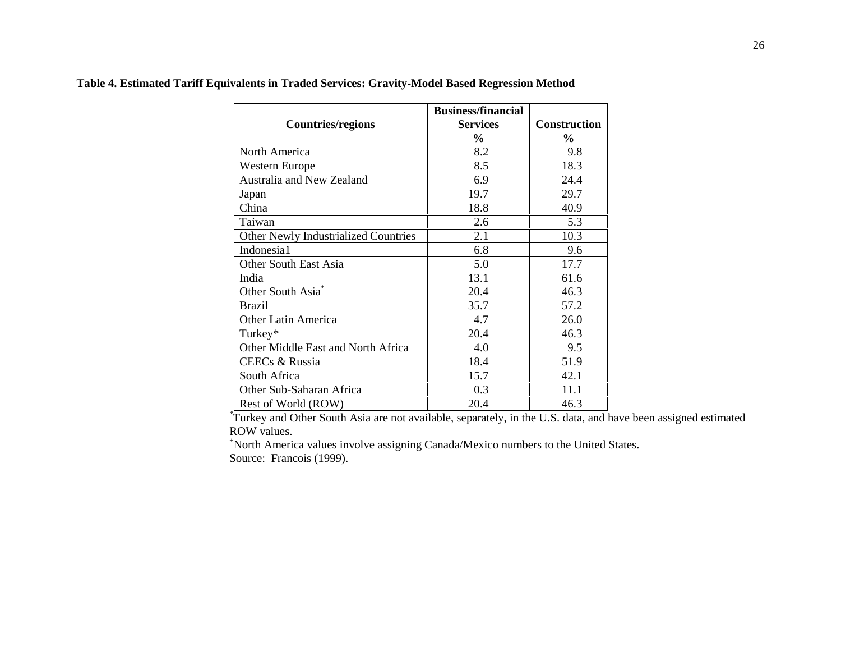|                                             | <b>Business/financial</b> |                     |
|---------------------------------------------|---------------------------|---------------------|
| <b>Countries/regions</b>                    | <b>Services</b>           | <b>Construction</b> |
|                                             | $\frac{0}{0}$             | $\frac{0}{0}$       |
| North America <sup>+</sup>                  | 8.2                       | 9.8                 |
| <b>Western Europe</b>                       | 8.5                       | 18.3                |
| Australia and New Zealand                   | 6.9                       | 24.4                |
| Japan                                       | 19.7                      | 29.7                |
| China                                       | 18.8                      | 40.9                |
| Taiwan                                      | 2.6                       | 5.3                 |
| <b>Other Newly Industrialized Countries</b> | 2.1                       | 10.3                |
| Indonesia1                                  | 6.8                       | 9.6                 |
| <b>Other South East Asia</b>                | 5.0                       | 17.7                |
| India                                       | 13.1                      | 61.6                |
| Other South Asia <sup>*</sup>               | 20.4                      | 46.3                |
| <b>Brazil</b>                               | 35.7                      | 57.2                |
| Other Latin America                         | 4.7                       | 26.0                |
| Turkey*                                     | 20.4                      | 46.3                |
| Other Middle East and North Africa          | 4.0                       | 9.5                 |
| <b>CEECs &amp; Russia</b>                   | 18.4                      | 51.9                |
| South Africa                                | 15.7                      | 42.1                |
| Other Sub-Saharan Africa                    | 0.3                       | 11.1                |
| Rest of World (ROW)                         | 20.4                      | 46.3                |

### **Table 4. Estimated Tariff Equivalents in Traded Services: Gravity-Model Based Regression Method**

<sup>\*</sup>Turkey and Other South Asia are not available, separately, in the U.S. data, and have been assigned estimated ROW values.

+North America values involve assigning Canada/Mexico numbers to the United States. Source: Francois (1999).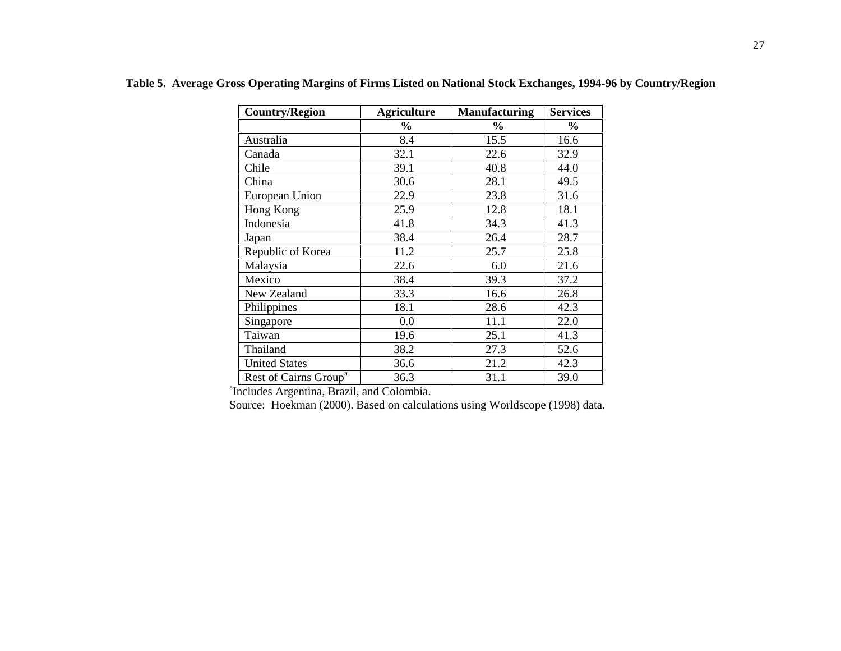| <b>Country/Region</b>             | <b>Agriculture</b> | <b>Manufacturing</b> | <b>Services</b> |
|-----------------------------------|--------------------|----------------------|-----------------|
|                                   | $\frac{0}{0}$      | $\%$                 | $\frac{0}{0}$   |
| Australia                         | 8.4                | 15.5                 | 16.6            |
| Canada                            | 32.1               | 22.6                 | 32.9            |
| Chile                             | 39.1               | 40.8                 | 44.0            |
| China                             | 30.6               | 28.1                 | 49.5            |
| European Union                    | 22.9               | 23.8                 | 31.6            |
| Hong Kong                         | 25.9               | 12.8                 | 18.1            |
| Indonesia                         | 41.8               | 34.3                 | 41.3            |
| Japan                             | 38.4               | 26.4                 | 28.7            |
| Republic of Korea                 | 11.2               | 25.7                 | 25.8            |
| Malaysia                          | 22.6               | 6.0                  | 21.6            |
| Mexico                            | 38.4               | 39.3                 | 37.2            |
| New Zealand                       | 33.3               | 16.6                 | 26.8            |
| Philippines                       | 18.1               | 28.6                 | 42.3            |
| Singapore                         | 0.0                | 11.1                 | 22.0            |
| Taiwan                            | 19.6               | 25.1                 | 41.3            |
| Thailand                          | 38.2               | 27.3                 | 52.6            |
| <b>United States</b>              | 36.6               | 21.2                 | 42.3            |
| Rest of Cairns Group <sup>a</sup> | 36.3               | 31.1                 | 39.0            |

**Table 5. Average Gross Operating Margins of Firms Listed on National Stock Exchanges, 1994-96 by Country/Region** 

<sup>a</sup>Includes Argentina, Brazil, and Colombia.

Source: Hoekman (2000). Based on calculations using Worldscope (1998) data.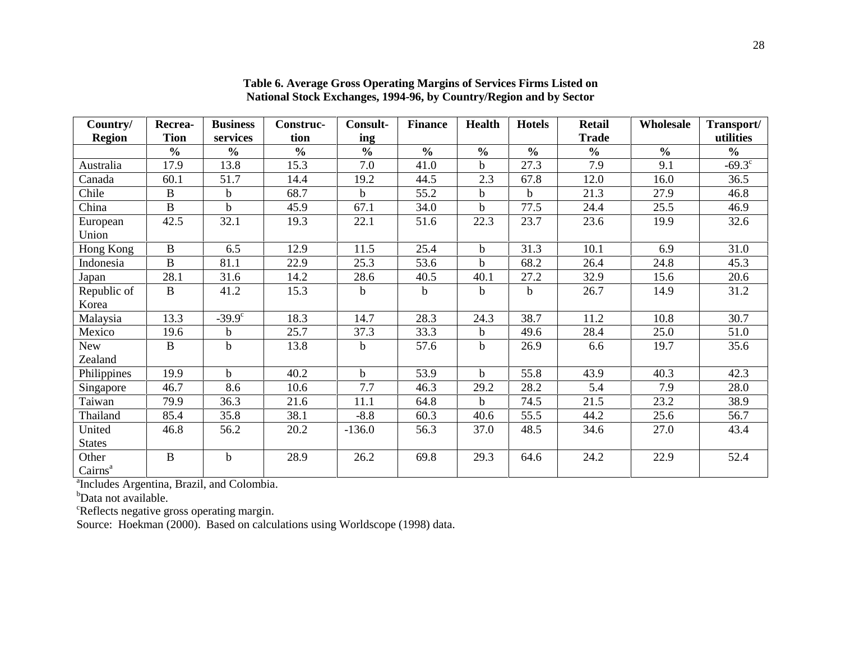| Country/            | Recrea-       | <b>Business</b> | Construc-     | Consult-      | <b>Finance</b> | <b>Health</b> | <b>Hotels</b> | <b>Retail</b> | Wholesale     | Transport/      |
|---------------------|---------------|-----------------|---------------|---------------|----------------|---------------|---------------|---------------|---------------|-----------------|
| <b>Region</b>       | <b>Tion</b>   | services        | tion          | ing           |                |               |               | <b>Trade</b>  |               | utilities       |
|                     | $\frac{0}{0}$ | $\frac{0}{0}$   | $\frac{6}{6}$ | $\frac{0}{0}$ | $\frac{0}{0}$  | $\frac{0}{0}$ | $\frac{6}{6}$ | $\frac{6}{6}$ | $\frac{0}{0}$ | $\frac{6}{6}$   |
| Australia           | 17.9          | 13.8            | 15.3          | $7.0\,$       | 41.0           | $\mathbf b$   | 27.3          | 7.9           | 9.1           | $-69.3^{\circ}$ |
| Canada              | 60.1          | 51.7            | 14.4          | 19.2          | 44.5           | 2.3           | 67.8          | 12.0          | 16.0          | 36.5            |
| Chile               | $\bf{B}$      | $\mathbf b$     | 68.7          | $\mathbf b$   | 55.2           | $\mathbf b$   | $\mathbf b$   | 21.3          | 27.9          | 46.8            |
| China               | $\, {\bf B}$  | $\mathbf b$     | 45.9          | 67.1          | 34.0           | $\mathbf b$   | 77.5          | 24.4          | 25.5          | 46.9            |
| European            | 42.5          | 32.1            | 19.3          | 22.1          | 51.6           | 22.3          | 23.7          | 23.6          | 19.9          | 32.6            |
| Union               |               |                 |               |               |                |               |               |               |               |                 |
| Hong Kong           | $\, {\bf B}$  | 6.5             | 12.9          | 11.5          | 25.4           | $\mathbf b$   | 31.3          | 10.1          | 6.9           | 31.0            |
| Indonesia           | $\, {\bf B}$  | 81.1            | 22.9          | 25.3          | 53.6           | b             | 68.2          | 26.4          | 24.8          | 45.3            |
| Japan               | 28.1          | 31.6            | 14.2          | 28.6          | 40.5           | 40.1          | 27.2          | 32.9          | 15.6          | 20.6            |
| Republic of         | $\, {\bf B}$  | 41.2            | 15.3          | $\mathbf b$   | $\mathbf b$    | b             | $\mathbf b$   | 26.7          | 14.9          | 31.2            |
| Korea               |               |                 |               |               |                |               |               |               |               |                 |
| Malaysia            | 13.3          | $-39.9^{\circ}$ | 18.3          | 14.7          | 28.3           | 24.3          | 38.7          | 11.2          | 10.8          | 30.7            |
| Mexico              | 19.6          | $\mathbf b$     | 25.7          | 37.3          | 33.3           | $\mathbf b$   | 49.6          | 28.4          | 25.0          | 51.0            |
| New                 | $\bf{B}$      | $\mathbf b$     | 13.8          | $\mathbf b$   | 57.6           | $\mathbf b$   | 26.9          | 6.6           | 19.7          | 35.6            |
| Zealand             |               |                 |               |               |                |               |               |               |               |                 |
| Philippines         | 19.9          | $\mathbf b$     | 40.2          | $\mathbf b$   | 53.9           | $\mathbf b$   | 55.8          | 43.9          | 40.3          | 42.3            |
| Singapore           | 46.7          | 8.6             | 10.6          | 7.7           | 46.3           | 29.2          | 28.2          | 5.4           | 7.9           | 28.0            |
| Taiwan              | 79.9          | 36.3            | 21.6          | 11.1          | 64.8           | b.            | 74.5          | 21.5          | 23.2          | 38.9            |
| Thailand            | 85.4          | 35.8            | 38.1          | $-8.8$        | 60.3           | 40.6          | 55.5          | 44.2          | 25.6          | 56.7            |
| United              | 46.8          | 56.2            | 20.2          | $-136.0$      | 56.3           | 37.0          | 48.5          | 34.6          | 27.0          | 43.4            |
| <b>States</b>       |               |                 |               |               |                |               |               |               |               |                 |
| Other               | $\bf{B}$      | $\mathbf b$     | 28.9          | 26.2          | 69.8           | 29.3          | 64.6          | 24.2          | 22.9          | 52.4            |
| Cairns <sup>a</sup> |               |                 |               |               |                |               |               |               |               |                 |

### **Table 6. Average Gross Operating Margins of Services Firms Listed on National Stock Exchanges, 1994-96, by Country/Region and by Sector**

<sup>a</sup>Includes Argentina, Brazil, and Colombia.

<sup>b</sup>Data not available.

<sup>c</sup>Reflects negative gross operating margin.

Source: Hoekman (2000). Based on calculations using Worldscope (1998) data.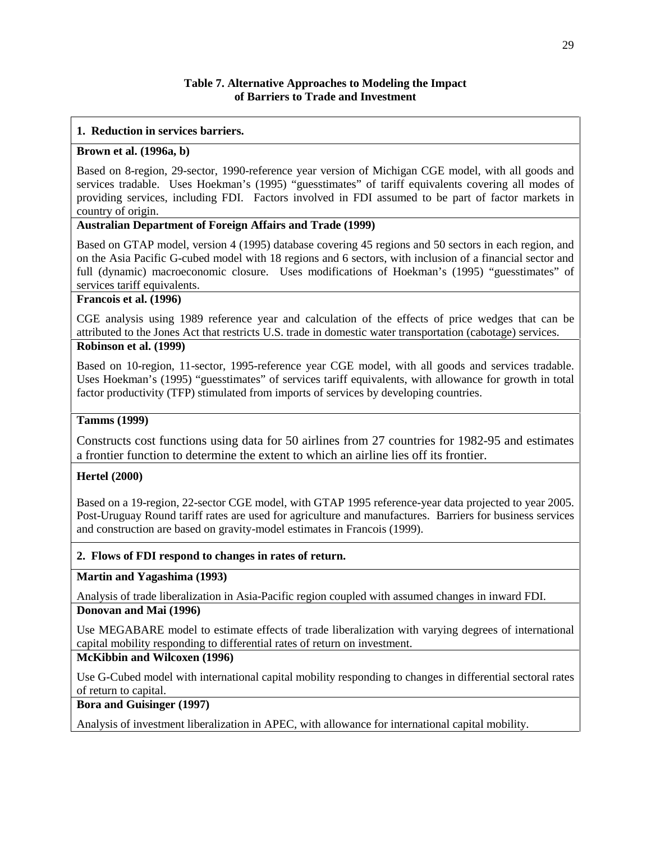### **Table 7. Alternative Approaches to Modeling the Impact of Barriers to Trade and Investment**

#### **1. Reduction in services barriers.**

#### **Brown et al. (1996a, b)**

Based on 8-region, 29-sector, 1990-reference year version of Michigan CGE model, with all goods and services tradable. Uses Hoekman's (1995) "guesstimates" of tariff equivalents covering all modes of providing services, including FDI. Factors involved in FDI assumed to be part of factor markets in country of origin.

#### **Australian Department of Foreign Affairs and Trade (1999)**

Based on GTAP model, version 4 (1995) database covering 45 regions and 50 sectors in each region, and on the Asia Pacific G-cubed model with 18 regions and 6 sectors, with inclusion of a financial sector and full (dynamic) macroeconomic closure. Uses modifications of Hoekman's (1995) "guesstimates" of services tariff equivalents.

#### **Francois et al. (1996)**

CGE analysis using 1989 reference year and calculation of the effects of price wedges that can be attributed to the Jones Act that restricts U.S. trade in domestic water transportation (cabotage) services.

### **Robinson et al. (1999)**

Based on 10-region, 11-sector, 1995-reference year CGE model, with all goods and services tradable. Uses Hoekman's (1995) "guesstimates" of services tariff equivalents, with allowance for growth in total factor productivity (TFP) stimulated from imports of services by developing countries.

#### **Tamms (1999)**

Constructs cost functions using data for 50 airlines from 27 countries for 1982-95 and estimates a frontier function to determine the extent to which an airline lies off its frontier.

#### **Hertel (2000)**

Based on a 19-region, 22-sector CGE model, with GTAP 1995 reference-year data projected to year 2005. Post-Uruguay Round tariff rates are used for agriculture and manufactures. Barriers for business services and construction are based on gravity-model estimates in Francois (1999).

#### **2. Flows of FDI respond to changes in rates of return.**

### **Martin and Yagashima (1993)**

Analysis of trade liberalization in Asia-Pacific region coupled with assumed changes in inward FDI.

### **Donovan and Mai (1996)**

Use MEGABARE model to estimate effects of trade liberalization with varying degrees of international capital mobility responding to differential rates of return on investment.

### **McKibbin and Wilcoxen (1996)**

Use G-Cubed model with international capital mobility responding to changes in differential sectoral rates of return to capital.

### **Bora and Guisinger (1997)**

Analysis of investment liberalization in APEC, with allowance for international capital mobility.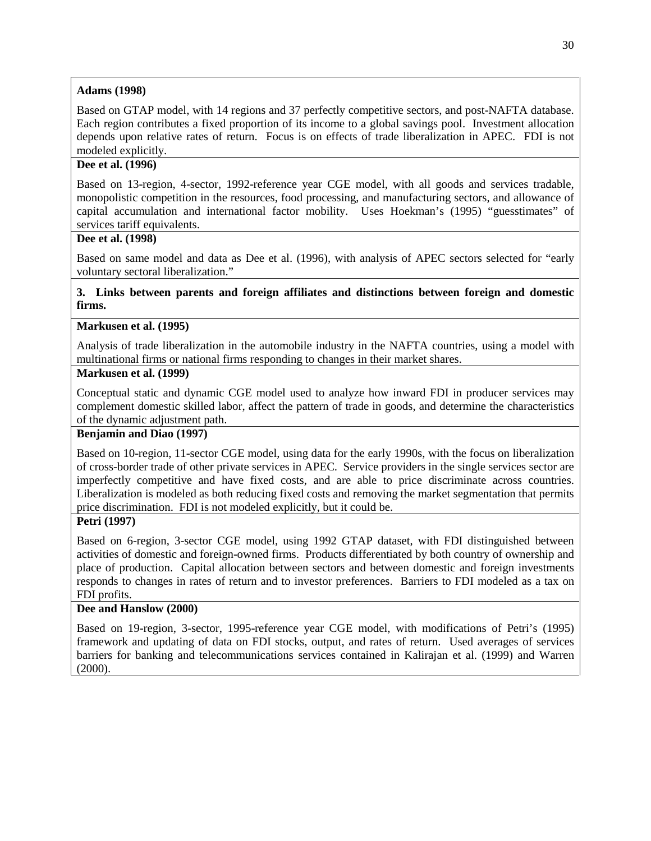### **Adams (1998)**

Based on GTAP model, with 14 regions and 37 perfectly competitive sectors, and post-NAFTA database. Each region contributes a fixed proportion of its income to a global savings pool. Investment allocation depends upon relative rates of return. Focus is on effects of trade liberalization in APEC. FDI is not modeled explicitly.

### **Dee et al. (1996)**

Based on 13-region, 4-sector, 1992-reference year CGE model, with all goods and services tradable, monopolistic competition in the resources, food processing, and manufacturing sectors, and allowance of capital accumulation and international factor mobility. Uses Hoekman's (1995) "guesstimates" of services tariff equivalents.

#### **Dee et al. (1998)**

Based on same model and data as Dee et al. (1996), with analysis of APEC sectors selected for "early voluntary sectoral liberalization."

### **3. Links between parents and foreign affiliates and distinctions between foreign and domestic firms.**

#### **Markusen et al. (1995)**

Analysis of trade liberalization in the automobile industry in the NAFTA countries, using a model with multinational firms or national firms responding to changes in their market shares.

### **Markusen et al. (1999)**

Conceptual static and dynamic CGE model used to analyze how inward FDI in producer services may complement domestic skilled labor, affect the pattern of trade in goods, and determine the characteristics of the dynamic adjustment path.

#### **Benjamin and Diao (1997)**

Based on 10-region, 11-sector CGE model, using data for the early 1990s, with the focus on liberalization of cross-border trade of other private services in APEC. Service providers in the single services sector are imperfectly competitive and have fixed costs, and are able to price discriminate across countries. Liberalization is modeled as both reducing fixed costs and removing the market segmentation that permits price discrimination. FDI is not modeled explicitly, but it could be.

### **Petri (1997)**

Based on 6-region, 3-sector CGE model, using 1992 GTAP dataset, with FDI distinguished between activities of domestic and foreign-owned firms. Products differentiated by both country of ownership and place of production. Capital allocation between sectors and between domestic and foreign investments responds to changes in rates of return and to investor preferences. Barriers to FDI modeled as a tax on FDI profits.

#### **Dee and Hanslow (2000)**

Based on 19-region, 3-sector, 1995-reference year CGE model, with modifications of Petri's (1995) framework and updating of data on FDI stocks, output, and rates of return. Used averages of services barriers for banking and telecommunications services contained in Kalirajan et al. (1999) and Warren  $(2000)$ .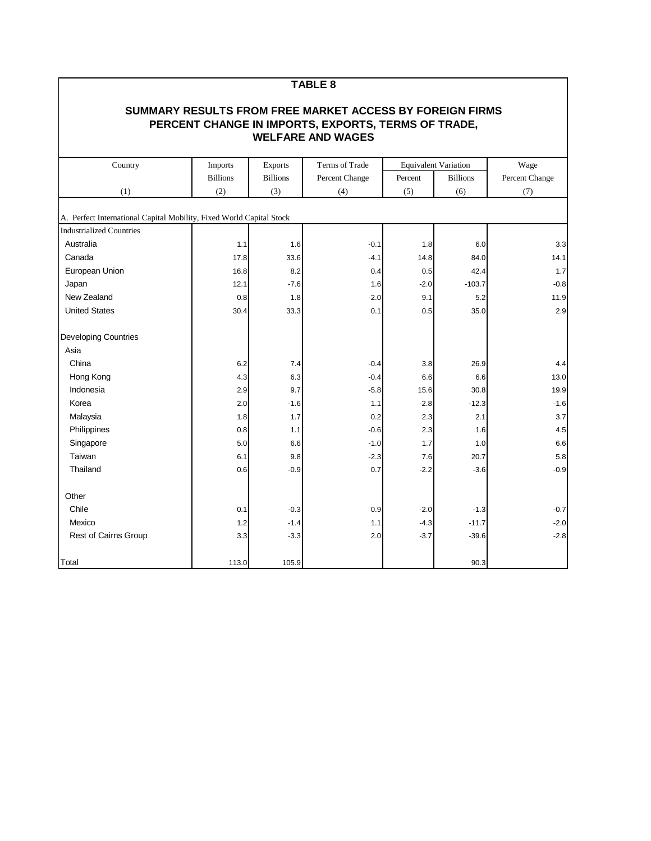### **TABLE 8**

#### **WELFARE AND WAGES SUMMARY RESULTS FROM FREE MARKET ACCESS BY FOREIGN FIRMS PERCENT CHANGE IN IMPORTS, EXPORTS, TERMS OF TRADE,**

| Country                                                              | Imports         | Exports         | Terms of Trade | <b>Equivalent Variation</b> |                 | Wage           |
|----------------------------------------------------------------------|-----------------|-----------------|----------------|-----------------------------|-----------------|----------------|
|                                                                      | <b>Billions</b> | <b>Billions</b> | Percent Change | Percent                     | <b>Billions</b> | Percent Change |
| (1)                                                                  | (2)             | (3)             | (4)            | (5)                         | (6)             | (7)            |
|                                                                      |                 |                 |                |                             |                 |                |
| A. Perfect International Capital Mobility, Fixed World Capital Stock |                 |                 |                |                             |                 |                |
| <b>Industrialized Countries</b>                                      |                 |                 |                |                             |                 |                |
| Australia                                                            | 1.1             | 1.6             | $-0.1$         | 1.8                         | 6.0             | 3.3            |
| Canada                                                               | 17.8            | 33.6            | $-4.1$         | 14.8                        | 84.0            | 14.1           |
| European Union                                                       | 16.8            | 8.2             | 0.4            | 0.5                         | 42.4            | 1.7            |
| Japan                                                                | 12.1            | $-7.6$          | 1.6            | $-2.0$                      | $-103.7$        | $-0.8$         |
| New Zealand                                                          | 0.8             | 1.8             | $-2.0$         | 9.1                         | 5.2             | 11.9           |
| <b>United States</b>                                                 | 30.4            | 33.3            | 0.1            | 0.5                         | 35.0            | 2.9            |
| <b>Developing Countries</b>                                          |                 |                 |                |                             |                 |                |
| Asia                                                                 |                 |                 |                |                             |                 |                |
| China                                                                | 6.2             | 7.4             | $-0.4$         | 3.8                         | 26.9            | 4.4            |
| Hong Kong                                                            | 4.3             | 6.3             | $-0.4$         | 6.6                         | 6.6             | 13.0           |
| Indonesia                                                            | 2.9             | 9.7             | $-5.8$         | 15.6                        | 30.8            | 19.9           |
| Korea                                                                | 2.0             | $-1.6$          | 1.1            | $-2.8$                      | $-12.3$         | $-1.6$         |
| Malaysia                                                             | 1.8             | 1.7             | 0.2            | 2.3                         | 2.1             | 3.7            |
| Philippines                                                          | 0.8             | 1.1             | $-0.6$         | 2.3                         | 1.6             | 4.5            |
| Singapore                                                            | 5.0             | 6.6             | $-1.0$         | 1.7                         | 1.0             | 6.6            |
| Taiwan                                                               | 6.1             | 9.8             | $-2.3$         | 7.6                         | 20.7            | 5.8            |
| Thailand                                                             | 0.6             | $-0.9$          | 0.7            | $-2.2$                      | $-3.6$          | $-0.9$         |
| Other                                                                |                 |                 |                |                             |                 |                |
| Chile                                                                | 0.1             | $-0.3$          | 0.9            | $-2.0$                      | $-1.3$          | $-0.7$         |
| Mexico                                                               | 1.2             | $-1.4$          | 1.1            | $-4.3$                      | $-11.7$         | $-2.0$         |
| Rest of Cairns Group                                                 | 3.3             | $-3.3$          | 2.0            | $-3.7$                      | $-39.6$         | $-2.8$         |
| Total                                                                | 113.0           | 105.9           |                |                             | 90.3            |                |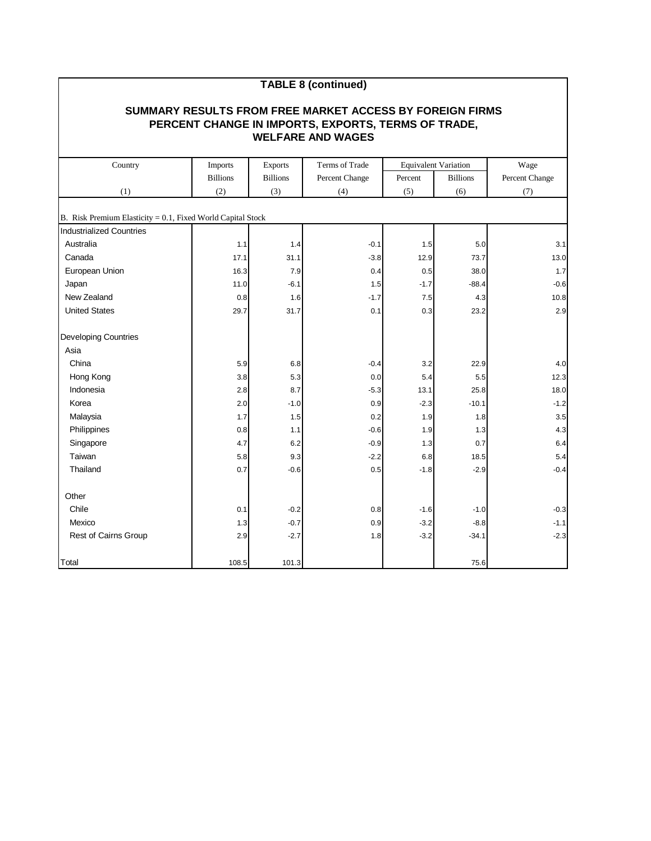## **TABLE 8 (continued)**

#### **SUMMARY RESULTS FROM FREE MARKET ACCESS BY FOREIGN FIRMS PERCENT CHANGE IN IMPORTS, EXPORTS, TERMS OF TRADE, WELFARE AND WAGES**

| Country                                                        | <b>Imports</b>  | Exports         | Terms of Trade | <b>Equivalent Variation</b> |                 | Wage           |
|----------------------------------------------------------------|-----------------|-----------------|----------------|-----------------------------|-----------------|----------------|
|                                                                | <b>Billions</b> | <b>Billions</b> | Percent Change | Percent                     | <b>Billions</b> | Percent Change |
| (1)                                                            | (2)             | (3)             | (4)            | (5)                         | (6)             | (7)            |
|                                                                |                 |                 |                |                             |                 |                |
| B. Risk Premium Elasticity = $0.1$ , Fixed World Capital Stock |                 |                 |                |                             |                 |                |
| <b>Industrialized Countries</b>                                |                 |                 |                |                             |                 |                |
| Australia                                                      | 1.1             | 1.4             | $-0.1$         | 1.5                         | 5.0             | 3.1            |
| Canada                                                         | 17.1            | 31.1            | $-3.8$         | 12.9                        | 73.7            | 13.0           |
| European Union                                                 | 16.3            | 7.9             | 0.4            | 0.5                         | 38.0            | 1.7            |
| Japan                                                          | 11.0            | $-6.1$          | 1.5            | $-1.7$                      | $-88.4$         | $-0.6$         |
| New Zealand                                                    | 0.8             | 1.6             | $-1.7$         | 7.5                         | 4.3             | 10.8           |
| <b>United States</b>                                           | 29.7            | 31.7            | 0.1            | 0.3                         | 23.2            | 2.9            |
| <b>Developing Countries</b>                                    |                 |                 |                |                             |                 |                |
| Asia                                                           |                 |                 |                |                             |                 |                |
| China                                                          | 5.9             | 6.8             | $-0.4$         | 3.2                         | 22.9            | 4.0            |
| Hong Kong                                                      | 3.8             | 5.3             | 0.0            | 5.4                         | 5.5             | 12.3           |
| Indonesia                                                      | 2.8             | 8.7             | $-5.3$         | 13.1                        | 25.8            | 18.0           |
| Korea                                                          | 2.0             | $-1.0$          | 0.9            | $-2.3$                      | $-10.1$         | $-1.2$         |
| Malaysia                                                       | 1.7             | 1.5             | 0.2            | 1.9                         | 1.8             | 3.5            |
| Philippines                                                    | 0.8             | 1.1             | $-0.6$         | 1.9                         | 1.3             | 4.3            |
| Singapore                                                      | 4.7             | 6.2             | $-0.9$         | 1.3                         | 0.7             | 6.4            |
| Taiwan                                                         | 5.8             | 9.3             | $-2.2$         | 6.8                         | 18.5            | 5.4            |
| Thailand                                                       | 0.7             | $-0.6$          | 0.5            | $-1.8$                      | $-2.9$          | $-0.4$         |
| Other                                                          |                 |                 |                |                             |                 |                |
| Chile                                                          | 0.1             | $-0.2$          | 0.8            | $-1.6$                      | $-1.0$          | $-0.3$         |
| Mexico                                                         | 1.3             | $-0.7$          | 0.9            | $-3.2$                      | $-8.8$          | $-1.1$         |
| Rest of Cairns Group                                           | 2.9             | $-2.7$          | 1.8            | $-3.2$                      | $-34.1$         | $-2.3$         |
| Total                                                          | 108.5           | 101.3           |                |                             | 75.6            |                |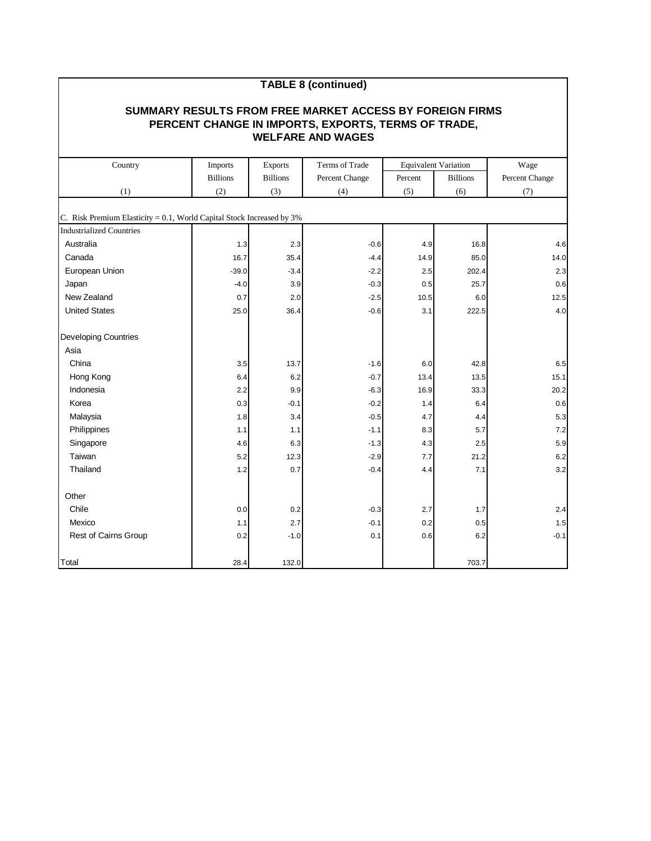## **TABLE 8 (continued)**

#### **SUMMARY RESULTS FROM FREE MARKET ACCESS BY FOREIGN FIRMS PERCENT CHANGE IN IMPORTS, EXPORTS, TERMS OF TRADE, WELFARE AND WAGES**

| Country                                                                  | <b>Imports</b>  | Exports         | Terms of Trade |         | <b>Equivalent Variation</b> | Wage           |
|--------------------------------------------------------------------------|-----------------|-----------------|----------------|---------|-----------------------------|----------------|
|                                                                          | <b>Billions</b> | <b>Billions</b> | Percent Change | Percent | <b>Billions</b>             | Percent Change |
| (1)                                                                      | (2)             | (3)             | (4)            | (5)     | (6)                         | (7)            |
|                                                                          |                 |                 |                |         |                             |                |
| C. Risk Premium Elasticity = $0.1$ , World Capital Stock Increased by 3% |                 |                 |                |         |                             |                |
| <b>Industrialized Countries</b>                                          |                 |                 |                |         |                             |                |
| Australia                                                                | 1.3             | 2.3             | $-0.6$         | 4.9     | 16.8                        | 4.6            |
| Canada                                                                   | 16.7            | 35.4            | $-4.4$         | 14.9    | 85.0                        | 14.0           |
| European Union                                                           | $-39.0$         | $-3.4$          | $-2.2$         | 2.5     | 202.4                       | 2.3            |
| Japan                                                                    | $-4.0$          | 3.9             | $-0.3$         | 0.5     | 25.7                        | 0.6            |
| New Zealand                                                              | 0.7             | 2.0             | $-2.5$         | 10.5    | 6.0                         | 12.5           |
| <b>United States</b>                                                     | 25.0            | 36.4            | $-0.6$         | 3.1     | 222.5                       | 4.0            |
| <b>Developing Countries</b>                                              |                 |                 |                |         |                             |                |
| Asia                                                                     |                 |                 |                |         |                             |                |
| China                                                                    | 3.5             | 13.7            | $-1.6$         | 6.0     | 42.8                        | 6.5            |
| Hong Kong                                                                | 6.4             | 6.2             | $-0.7$         | 13.4    | 13.5                        | 15.1           |
| Indonesia                                                                | 2.2             | 9.9             | $-6.3$         | 16.9    | 33.3                        | 20.2           |
| Korea                                                                    | 0.3             | $-0.1$          | $-0.2$         | 1.4     | 6.4                         | 0.6            |
| Malaysia                                                                 | 1.8             | 3.4             | $-0.5$         | 4.7     | 4.4                         | 5.3            |
| Philippines                                                              | 1.1             | 1.1             | $-1.1$         | 8.3     | 5.7                         | 7.2            |
| Singapore                                                                | 4.6             | 6.3             | $-1.3$         | 4.3     | 2.5                         | 5.9            |
| Taiwan                                                                   | 5.2             | 12.3            | $-2.9$         | 7.7     | 21.2                        | 6.2            |
| Thailand                                                                 | $1.2$           | 0.7             | $-0.4$         | 4.4     | 7.1                         | 3.2            |
| Other                                                                    |                 |                 |                |         |                             |                |
| Chile                                                                    | 0.0             | 0.2             | $-0.3$         | 2.7     | 1.7                         | 2.4            |
| Mexico                                                                   | 1.1             | 2.7             | $-0.1$         | 0.2     | 0.5                         | 1.5            |
| Rest of Cairns Group                                                     | 0.2             | $-1.0$          | 0.1            | 0.6     | 6.2                         | $-0.1$         |
| Total                                                                    | 28.4            | 132.0           |                |         | 703.7                       |                |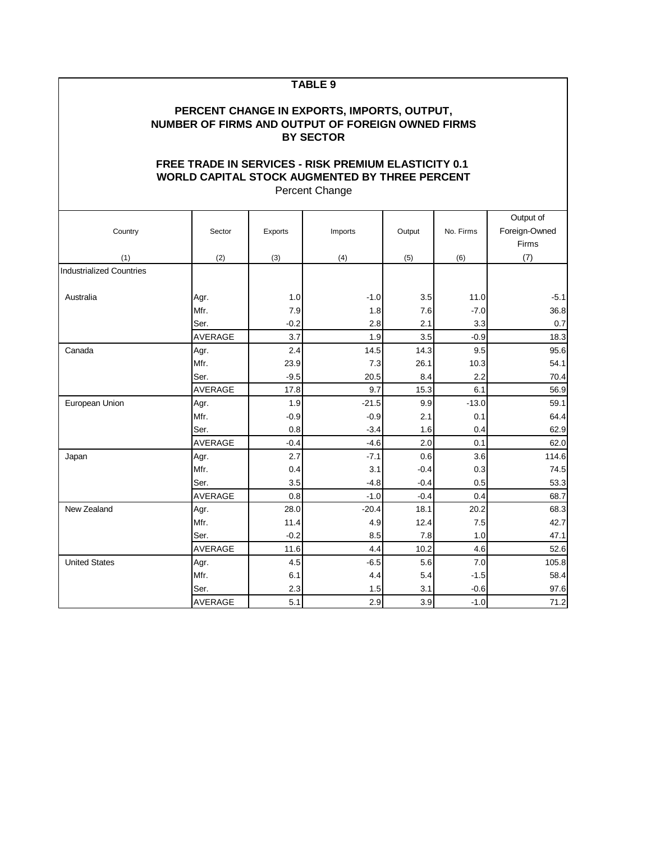#### **TABLE 9**

### **BY SECTOR PERCENT CHANGE IN EXPORTS, IMPORTS, OUTPUT, NUMBER OF FIRMS AND OUTPUT OF FOREIGN OWNED FIRMS**

### **FREE TRADE IN SERVICES - RISK PREMIUM ELASTICITY 0.1 WORLD CAPITAL STOCK AUGMENTED BY THREE PERCENT**

Percent Change

|                                 |                |         |         |        |           | Output of     |
|---------------------------------|----------------|---------|---------|--------|-----------|---------------|
| Country                         | Sector         | Exports | Imports | Output | No. Firms | Foreign-Owned |
|                                 |                |         |         |        |           | Firms         |
| (1)                             | (2)            | (3)     | (4)     | (5)    | (6)       | (7)           |
| <b>Industrialized Countries</b> |                |         |         |        |           |               |
|                                 |                |         |         |        |           |               |
| Australia                       | Agr.           | 1.0     | $-1.0$  | 3.5    | 11.0      | $-5.1$        |
|                                 | Mfr.           | 7.9     | 1.8     | 7.6    | $-7.0$    | 36.8          |
|                                 | Ser.           | $-0.2$  | 2.8     | 2.1    | 3.3       | 0.7           |
|                                 | <b>AVERAGE</b> | 3.7     | 1.9     | 3.5    | $-0.9$    | 18.3          |
| Canada                          | Agr.           | 2.4     | 14.5    | 14.3   | 9.5       | 95.6          |
|                                 | Mfr.           | 23.9    | 7.3     | 26.1   | 10.3      | 54.1          |
|                                 | Ser.           | $-9.5$  | 20.5    | 8.4    | 2.2       | 70.4          |
|                                 | AVERAGE        | 17.8    | 9.7     | 15.3   | 6.1       | 56.9          |
| European Union                  | Agr.           | 1.9     | $-21.5$ | 9.9    | $-13.0$   | 59.1          |
|                                 | Mfr.           | $-0.9$  | $-0.9$  | 2.1    | 0.1       | 64.4          |
|                                 | Ser.           | 0.8     | $-3.4$  | 1.6    | 0.4       | 62.9          |
|                                 | AVERAGE        | $-0.4$  | $-4.6$  | 2.0    | 0.1       | 62.0          |
| Japan                           | Agr.           | 2.7     | $-7.1$  | 0.6    | 3.6       | 114.6         |
|                                 | Mfr.           | 0.4     | 3.1     | $-0.4$ | 0.3       | 74.5          |
|                                 | Ser.           | 3.5     | $-4.8$  | $-0.4$ | 0.5       | 53.3          |
|                                 | AVERAGE        | 0.8     | $-1.0$  | $-0.4$ | 0.4       | 68.7          |
| New Zealand                     | Agr.           | 28.0    | $-20.4$ | 18.1   | 20.2      | 68.3          |
|                                 | Mfr.           | 11.4    | 4.9     | 12.4   | 7.5       | 42.7          |
|                                 | Ser.           | $-0.2$  | 8.5     | 7.8    | 1.0       | 47.1          |
|                                 | AVERAGE        | 11.6    | 4.4     | 10.2   | 4.6       | 52.6          |
| <b>United States</b>            | Agr.           | 4.5     | $-6.5$  | 5.6    | 7.0       | 105.8         |
|                                 | Mfr.           | 6.1     | 4.4     | 5.4    | $-1.5$    | 58.4          |
|                                 | Ser.           | 2.3     | 1.5     | 3.1    | $-0.6$    | 97.6          |
|                                 | AVERAGE        | 5.1     | 2.9     | 3.9    | $-1.0$    | 71.2          |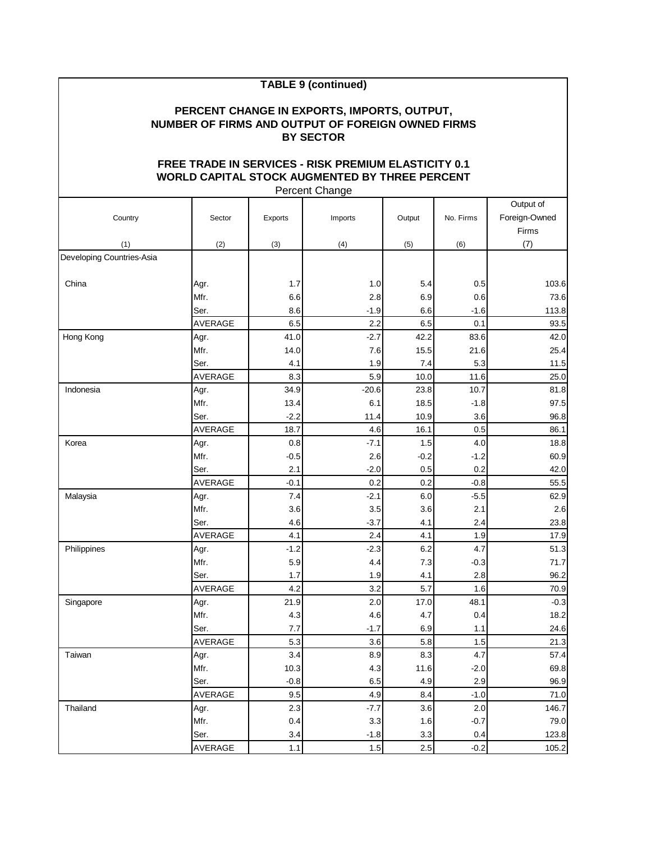### **TABLE 9 (continued)**

#### **PERCENT CHANGE IN EXPORTS, IMPORTS, OUTPUT, NUMBER OF FIRMS AND OUTPUT OF FOREIGN OWNED FIRMS BY SECTOR**

### **FREE TRADE IN SERVICES - RISK PREMIUM ELASTICITY 0.1 WORLD CAPITAL STOCK AUGMENTED BY THREE PERCENT**

Percent Change

|                           |                |         |         |        |           | Output of     |
|---------------------------|----------------|---------|---------|--------|-----------|---------------|
| Country                   | Sector         | Exports | Imports | Output | No. Firms | Foreign-Owned |
|                           |                |         |         |        |           | Firms         |
| (1)                       | (2)            | (3)     | (4)     | (5)    | (6)       | (7)           |
| Developing Countries-Asia |                |         |         |        |           |               |
|                           |                |         |         |        |           |               |
| China                     | Agr.           | 1.7     | 1.0     | 5.4    | 0.5       | 103.6         |
|                           | Mfr.           | 6.6     | 2.8     | 6.9    | 0.6       | 73.6          |
|                           | Ser.           | 8.6     | $-1.9$  | 6.6    | $-1.6$    | 113.8         |
|                           | AVERAGE        | 6.5     | 2.2     | 6.5    | 0.1       | 93.5          |
| Hong Kong                 | Agr.           | 41.0    | $-2.7$  | 42.2   | 83.6      | 42.0          |
|                           | Mfr.           | 14.0    | 7.6     | 15.5   | 21.6      | 25.4          |
|                           | Ser.           | 4.1     | 1.9     | 7.4    | 5.3       | 11.5          |
|                           | AVERAGE        | 8.3     | 5.9     | 10.0   | 11.6      | 25.0          |
| Indonesia                 | Agr.           | 34.9    | $-20.6$ | 23.8   | 10.7      | 81.8          |
|                           | Mfr.           | 13.4    | 6.1     | 18.5   | $-1.8$    | 97.5          |
|                           | Ser.           | $-2.2$  | 11.4    | 10.9   | 3.6       | 96.8          |
|                           | <b>AVERAGE</b> | 18.7    | 4.6     | 16.1   | 0.5       | 86.1          |
| Korea                     | Agr.           | 0.8     | $-7.1$  | 1.5    | 4.0       | 18.8          |
|                           | Mfr.           | $-0.5$  | 2.6     | $-0.2$ | $-1.2$    | 60.9          |
|                           | Ser.           | 2.1     | $-2.0$  | 0.5    | 0.2       | 42.0          |
|                           | AVERAGE        | $-0.1$  | 0.2     | 0.2    | $-0.8$    | 55.5          |
| Malaysia                  | Agr.           | 7.4     | $-2.1$  | 6.0    | $-5.5$    | 62.9          |
|                           | Mfr.           | 3.6     | 3.5     | 3.6    | 2.1       | 2.6           |
|                           | Ser.           | 4.6     | $-3.7$  | 4.1    | 2.4       | 23.8          |
|                           | AVERAGE        | 4.1     | 2.4     | 4.1    | 1.9       | 17.9          |
| Philippines               | Agr.           | $-1.2$  | $-2.3$  | 6.2    | 4.7       | 51.3          |
|                           | Mfr.           | 5.9     | 4.4     | 7.3    | $-0.3$    | 71.7          |
|                           | Ser.           | 1.7     | 1.9     | 4.1    | 2.8       | 96.2          |
|                           | AVERAGE        | 4.2     | 3.2     | 5.7    | 1.6       | 70.9          |
| Singapore                 | Agr.           | 21.9    | 2.0     | 17.0   | 48.1      | $-0.3$        |
|                           | Mfr.           | 4.3     | 4.6     | 4.7    | 0.4       | 18.2          |
|                           | Ser.           | 7.7     | $-1.7$  | 6.9    | 1.1       | 24.6          |
|                           | AVERAGE        | 5.3     | 3.6     | 5.8    | 1.5       | 21.3          |
| Taiwan                    | Agr.           | 3.4     | 8.9     | 8.3    | 4.7       | 57.4          |
|                           | Mfr.           | 10.3    | 4.3     | 11.6   | $-2.0$    | 69.8          |
|                           | Ser.           | $-0.8$  | 6.5     | 4.9    | 2.9       | 96.9          |
|                           | AVERAGE        | 9.5     | 4.9     | 8.4    | $-1.0$    | 71.0          |
| Thailand                  | Agr.           | 2.3     | $-7.7$  | 3.6    | 2.0       | 146.7         |
|                           | Mfr.           | 0.4     | 3.3     | 1.6    | $-0.7$    | 79.0          |
|                           | Ser.           | 3.4     | $-1.8$  | 3.3    | 0.4       | 123.8         |
|                           | AVERAGE        | 1.1     | 1.5     | 2.5    | $-0.2$    | 105.2         |